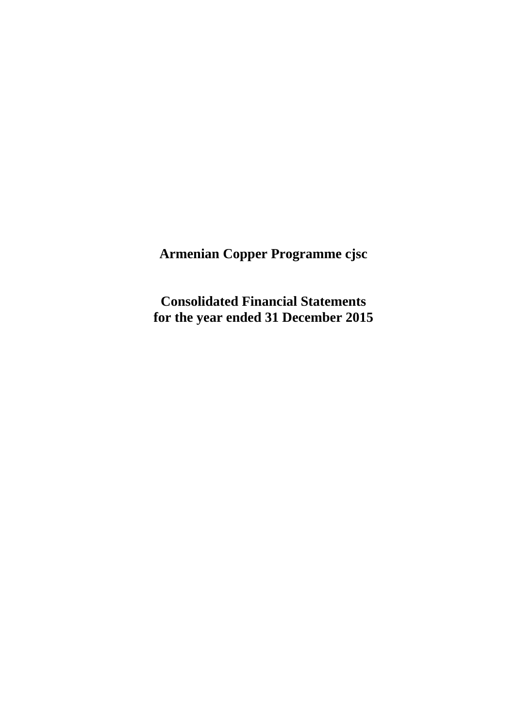**Armenian Copper Programme cjsc** 

**Consolidated Financial Statements for the year ended 31 December 2015**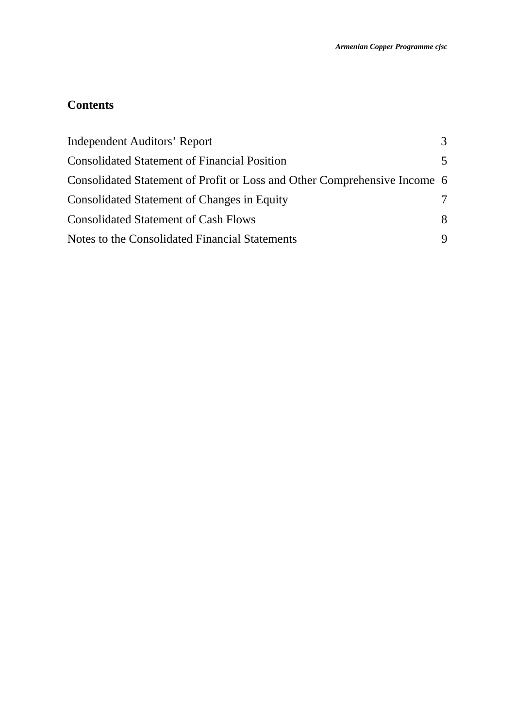# **Contents**

| Independent Auditors' Report                                              |   |
|---------------------------------------------------------------------------|---|
| <b>Consolidated Statement of Financial Position</b>                       | 5 |
| Consolidated Statement of Profit or Loss and Other Comprehensive Income 6 |   |
| Consolidated Statement of Changes in Equity                               | 7 |
| <b>Consolidated Statement of Cash Flows</b>                               | 8 |
| Notes to the Consolidated Financial Statements                            | 9 |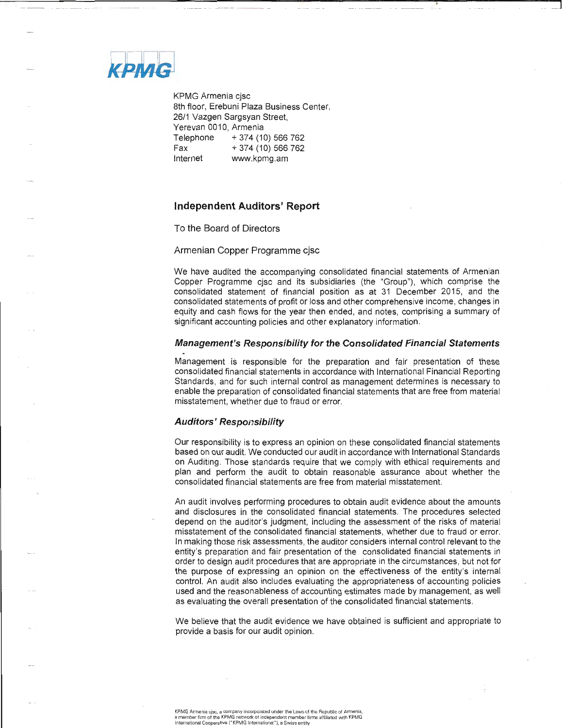

KPMG Armenia cjsc 8th floor, Erebuni Plaza Business Center, 26/1 Vazgen Sargsyan Street, Yerevan 0010, Armenia Telephone  $+374(10)566762$  $Fax + 374 (10) 566 762$ Internet www.kpmg.am

#### Independent Auditors' Report

To the Board of Directors

#### Armenian Copper Programme cjsc

We have audited the accompanying consolidated financial statements of Armenian Copper Programme cjsc and its subsidiaries (the "Group"), which comprise the consolidated statement of financial position as at 31 December 2015, and the consolidated statements of profit or loss and other comprehensive income, changes in equity and cash flows for the year then ended, and notes, comprising a summary of significant accounting policies and other explanatory information.

#### Management's Responsibility for the Consolidated Financial Statements

Management is responsible for the preparation and fair presentation of these consolidated financial statements in accordance with International Financial Reporting Standards, and for such internal control as management determines is necessary to enable the preparation of consolidated financial statements that are free from material misstatement, whether due to fraud or error.

#### Auditors' Responsibility

Our responsibility is to express an opinion on these consolidated financial statements based on our audit. We conducted our audit in accordance with International Standards on Auditing. Those standards require that we comply with ethical requirements and plan and perform the audit to obtain reasonable assurance about whether the consolidated financial statements are free from material misstatement.

An audit involves performing procedures to obtain audit evidence about the amounts and disclosures in the consolidated financial statements. The procedures selected depend on the auditor's judgment, including the assessment of the risks of material misstatement of the consolidated financial statements, whether due to fraud or error. In making those risk assessments, the auditor considers internal control relevant to the entity's preparation and fair presentation of the consolidated financial statements in order to design audit procedures that are appropriate in the circumstances, but not for the purpose of expressing an opinion on the effectiveness of the entity's internal control. An audit also includes evaluating the appropriateness of accounting policies used and the reasonableness of accounting estimates made by management, as well as evaluating the overall presentation of the consolidated financial statements.

We believe that the audit evidence we have obtained is sufficient and appropriate to provide a basis for our audit opinion.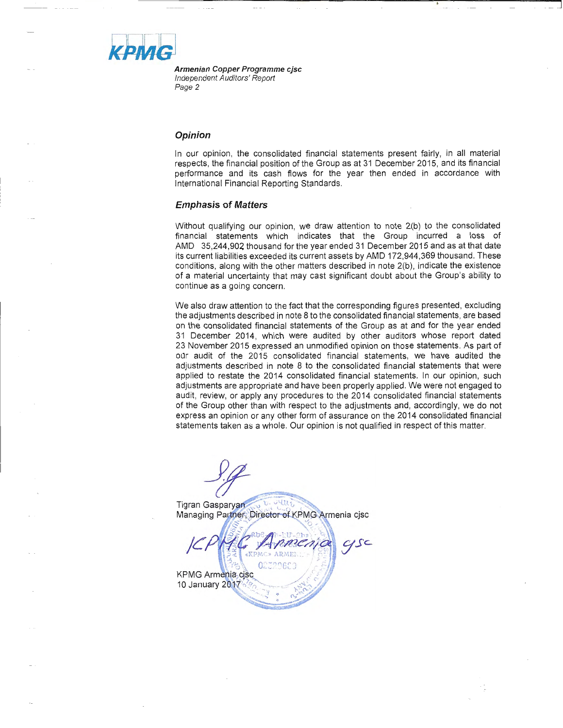

Armenian Copper Programme cjsc Independent Auditors' Report Page 2

#### **Opinion**

In our opinion, the consolidated financial statements present fairly, in all material respects, the financial position of the Group as at 31 December 2015, and its financial performance and its cash flows for the year then ended in accordance with International Financial Reporting Standards.

#### **Emphasis of Matters**

Without qualifying our opinion, we draw attention to note 2(b) to the consolidated financial statements which indicates that the Group incurred a loss of AMO 35,244,902 thousand for the year ended 31 December 2015 and as at that date its current liabilities exceeded its current assets by AMO 172,944,369 thousand. These conditions, along with the other matters described in note 2(b), indicate the existence of a material uncertainty that may cast significant doubt about the Group's ability to continue as a going concern.

We also draw attention to the fact that the corresponding figures presented, excluding the adjustments described in note 8 to the consolidated financial statements, are based on the consolidated financial statements of the Group as at and for the year ended 31 December 2014, which were audited by other auditors whose report dated 23 November 2015 expressed an unmodified opinion on those statements. As part of our audit of the 2015 consolidated financial statements, we have audited the adjustments described in note 8 to the consolidated financial statements that were applied to restate the 2014 consolidated financial statements. In our opinion, such adjustments are appropriate and have been properly applied. We were not engaged to audit, review, or apply any procedures to the 2014 consolidated financial statements of the Group other than with respect to the adjustments and, accordingly, we do not express an opinion or any other form of assurance on the 2014 consolidated financial statements taken as a whole. Our opinion is not qualified in respect of this matter.

Tigran Gasparyan Managing Partner: Director of KPMG Armenia cisc  $CSC$ 0232065 **KPMG Armenia cisc** 10 January 2017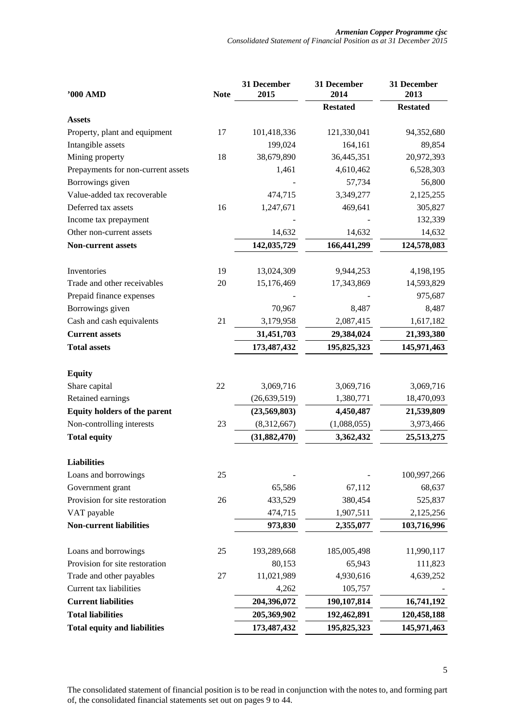| '000 AMD                            | <b>Note</b> | 31 December<br>2015 | 31 December<br>2014 | 31 December<br>2013 |
|-------------------------------------|-------------|---------------------|---------------------|---------------------|
|                                     |             |                     | <b>Restated</b>     | <b>Restated</b>     |
| <b>Assets</b>                       |             |                     |                     |                     |
| Property, plant and equipment       | 17          | 101,418,336         | 121,330,041         | 94,352,680          |
| Intangible assets                   |             | 199,024             | 164,161             | 89,854              |
| Mining property                     | 18          | 38,679,890          | 36,445,351          | 20,972,393          |
| Prepayments for non-current assets  |             | 1,461               | 4,610,462           | 6,528,303           |
| Borrowings given                    |             |                     | 57,734              | 56,800              |
| Value-added tax recoverable         |             | 474,715             | 3,349,277           | 2,125,255           |
| Deferred tax assets                 | 16          | 1,247,671           | 469,641             | 305,827             |
| Income tax prepayment               |             |                     |                     | 132,339             |
| Other non-current assets            |             | 14,632              | 14,632              | 14,632              |
| <b>Non-current assets</b>           |             | 142,035,729         | 166,441,299         | 124,578,083         |
| Inventories                         | 19          | 13,024,309          | 9,944,253           | 4,198,195           |
| Trade and other receivables         | 20          | 15,176,469          | 17,343,869          | 14,593,829          |
| Prepaid finance expenses            |             |                     |                     | 975,687             |
| Borrowings given                    |             | 70,967              | 8,487               | 8,487               |
| Cash and cash equivalents           | 21          | 3,179,958           | 2,087,415           | 1,617,182           |
| <b>Current assets</b>               |             | 31,451,703          | 29,384,024          | 21,393,380          |
| <b>Total assets</b>                 |             | 173,487,432         | 195,825,323         | 145,971,463         |
|                                     |             |                     |                     |                     |
| <b>Equity</b>                       |             |                     |                     |                     |
| Share capital                       | 22          | 3,069,716           | 3,069,716           | 3,069,716           |
| Retained earnings                   |             | (26, 639, 519)      | 1,380,771           | 18,470,093          |
| <b>Equity holders of the parent</b> |             | (23,569,803)        | 4,450,487           | 21,539,809          |
| Non-controlling interests           | 23          | (8,312,667)         | (1,088,055)         | 3,973,466           |
| <b>Total equity</b>                 |             | (31, 882, 470)      | 3,362,432           | 25,513,275          |
| <b>Liabilities</b>                  |             |                     |                     |                     |
| Loans and borrowings                | 25          |                     |                     | 100,997,266         |
| Government grant                    |             | 65,586              | 67,112              | 68,637              |
| Provision for site restoration      | 26          | 433,529             | 380,454             | 525,837             |
| VAT payable                         |             | 474,715             | 1,907,511           | 2,125,256           |
| <b>Non-current liabilities</b>      |             | 973,830             | 2,355,077           | 103,716,996         |
|                                     |             |                     |                     |                     |
| Loans and borrowings                | 25          | 193,289,668         | 185,005,498         | 11,990,117          |
| Provision for site restoration      |             | 80,153              | 65,943              | 111,823             |
| Trade and other payables            | 27          | 11,021,989          | 4,930,616           | 4,639,252           |
| Current tax liabilities             |             | 4,262               | 105,757             |                     |
| <b>Current liabilities</b>          |             | 204,396,072         | 190,107,814         | 16,741,192          |
| <b>Total liabilities</b>            |             | 205,369,902         | 192,462,891         | 120,458,188         |
| <b>Total equity and liabilities</b> |             | 173,487,432         | 195,825,323         | 145,971,463         |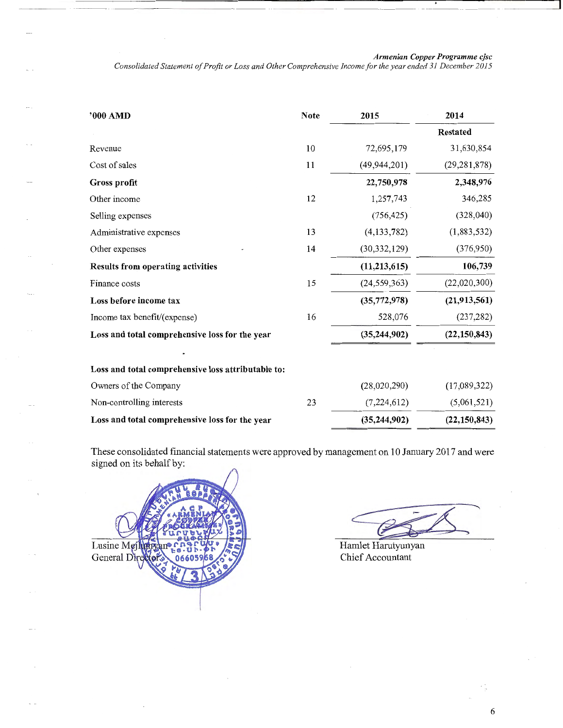#### *Armenian Copper Programme cjsc*

*Consolidated Statement of Profit or Loss and Other Comprehensive Income for the year ended 31 December 2015* 

| '000 AMD                                           | <b>Note</b> | 2015           | 2014            |
|----------------------------------------------------|-------------|----------------|-----------------|
|                                                    |             |                | <b>Restated</b> |
| Revenue                                            | 10          | 72,695,179     | 31,630,854      |
| Cost of sales                                      | 11          | (49, 944, 201) | (29, 281, 878)  |
| Gross profit                                       |             | 22,750,978     | 2,348,976       |
| Other income                                       | 12          | 1,257,743      | 346,285         |
| Selling expenses                                   |             | (756, 425)     | (328,040)       |
| Administrative expenses                            | 13          | (4, 133, 782)  | (1,883,532)     |
| Other expenses                                     | 14          | (30, 332, 129) | (376,950)       |
| <b>Results from operating activities</b>           |             | (11, 213, 615) | 106,739         |
| Finance costs                                      | 15          | (24.559, 363)  | (22,020,300)    |
| Loss before income tax                             |             | (35,772,978)   | (21, 913, 561)  |
| Income tax benefit/(expense)                       | 16          | 528,076        | (237, 282)      |
| Loss and total comprehensive loss for the year     |             | (35, 244, 902) | (22, 150, 843)  |
| Loss and total comprehensive loss attributable to: |             |                |                 |
| Owners of the Company                              |             | (28,020,290)   | (17,089,322)    |
| Non-controlling interests                          | 23          | (7, 224, 612)  | (5,061,521)     |
| Loss and total comprehensive loss for the year     |             | (35, 244, 902) | (22, 150, 843)  |

These consolidated financial statements were approved by management on 10 January 2017 and were signed on its behalf by:



Hamlet Harutyunyan Chief Accountant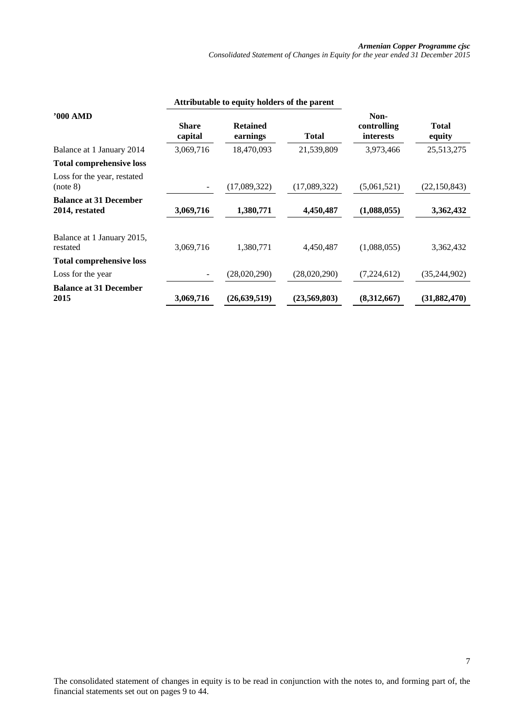|                                                 |                         | Attributable to equity holders of the parent |              |                                         |                        |
|-------------------------------------------------|-------------------------|----------------------------------------------|--------------|-----------------------------------------|------------------------|
| '000 AMD                                        | <b>Share</b><br>capital | <b>Retained</b><br>earnings                  | <b>Total</b> | Non-<br>controlling<br><i>interests</i> | <b>Total</b><br>equity |
| Balance at 1 January 2014                       | 3,069,716               | 18,470,093                                   | 21,539,809   | 3,973,466                               | 25,513,275             |
| <b>Total comprehensive loss</b>                 |                         |                                              |              |                                         |                        |
| Loss for the year, restated<br>(note 8)         |                         | (17,089,322)                                 | (17,089,322) | (5,061,521)                             | (22, 150, 843)         |
| <b>Balance at 31 December</b><br>2014, restated | 3,069,716               | 1,380,771                                    | 4,450,487    | (1,088,055)                             | 3,362,432              |
| Balance at 1 January 2015,<br>restated          | 3,069,716               | 1,380,771                                    | 4,450,487    | (1,088,055)                             | 3,362,432              |
| <b>Total comprehensive loss</b>                 |                         |                                              |              |                                         |                        |
| Loss for the year                               |                         | (28,020,290)                                 | (28,020,290) | (7,224,612)                             | (35,244,902)           |
| <b>Balance at 31 December</b><br>2015           | 3,069,716               | (26, 639, 519)                               | (23,569,803) | (8,312,667)                             | (31, 882, 470)         |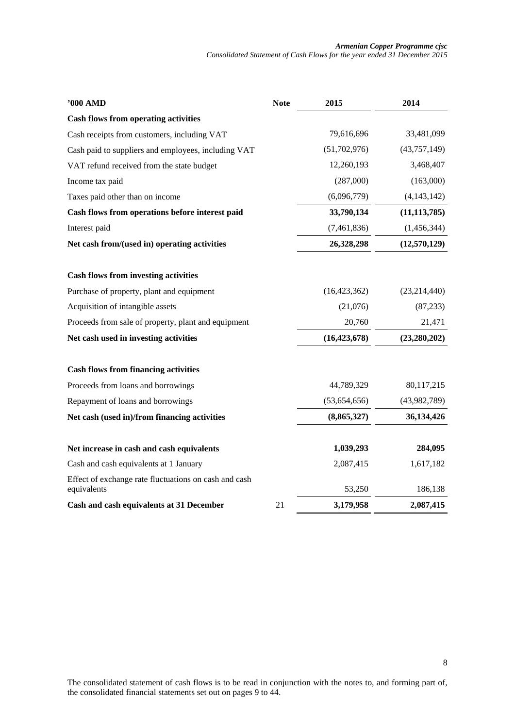| '000 AMD                                                             | <b>Note</b> | 2015           | 2014           |
|----------------------------------------------------------------------|-------------|----------------|----------------|
| <b>Cash flows from operating activities</b>                          |             |                |                |
| Cash receipts from customers, including VAT                          |             | 79,616,696     | 33,481,099     |
| Cash paid to suppliers and employees, including VAT                  |             | (51,702,976)   | (43,757,149)   |
| VAT refund received from the state budget                            |             | 12,260,193     | 3,468,407      |
| Income tax paid                                                      |             | (287,000)      | (163,000)      |
| Taxes paid other than on income                                      |             | (6,096,779)    | (4, 143, 142)  |
| Cash flows from operations before interest paid                      |             | 33,790,134     | (11, 113, 785) |
| Interest paid                                                        |             | (7, 461, 836)  | (1,456,344)    |
| Net cash from/(used in) operating activities                         |             | 26,328,298     | (12,570,129)   |
| <b>Cash flows from investing activities</b>                          |             |                |                |
| Purchase of property, plant and equipment                            |             | (16, 423, 362) | (23, 214, 440) |
| Acquisition of intangible assets                                     |             | (21,076)       | (87, 233)      |
| Proceeds from sale of property, plant and equipment                  |             | 20,760         | 21,471         |
| Net cash used in investing activities                                |             | (16, 423, 678) | (23, 280, 202) |
| <b>Cash flows from financing activities</b>                          |             |                |                |
| Proceeds from loans and borrowings                                   |             | 44,789,329     | 80,117,215     |
| Repayment of loans and borrowings                                    |             | (53,654,656)   | (43,982,789)   |
| Net cash (used in)/from financing activities                         |             | (8,865,327)    | 36,134,426     |
| Net increase in cash and cash equivalents                            |             | 1,039,293      | 284,095        |
| Cash and cash equivalents at 1 January                               |             | 2,087,415      | 1,617,182      |
| Effect of exchange rate fluctuations on cash and cash<br>equivalents |             | 53,250         | 186,138        |
| Cash and cash equivalents at 31 December                             | 21          | 3,179,958      | 2,087,415      |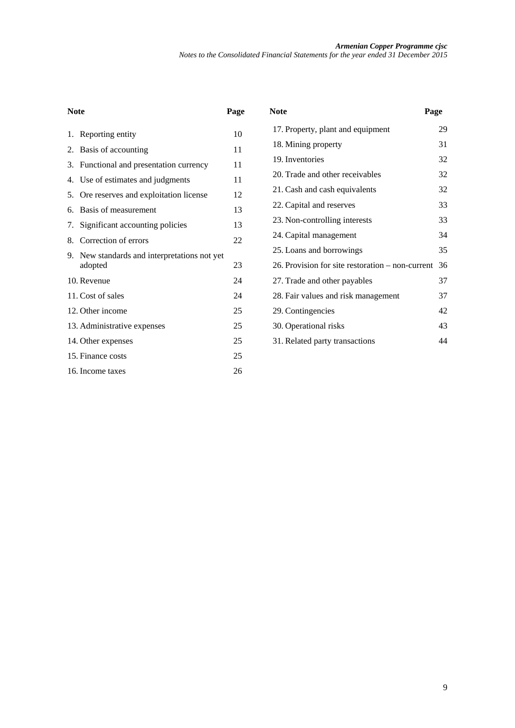| 1. Reporting entity                                     | 10 |
|---------------------------------------------------------|----|
| 2. Basis of accounting                                  | 11 |
| 3. Functional and presentation currency                 | 11 |
| 4. Use of estimates and judgments                       | 11 |
| 5. Ore reserves and exploitation license                | 12 |
| 6. Basis of measurement                                 | 13 |
| 7. Significant accounting policies                      | 13 |
| 8. Correction of errors                                 | 22 |
| 9. New standards and interpretations not yet<br>adopted | 23 |
| 10. Revenue                                             | 24 |
| 11. Cost of sales                                       | 24 |
| 12. Other income                                        | 25 |
| 13. Administrative expenses                             | 25 |
| 14. Other expenses                                      | 25 |
| 15. Finance costs                                       | 25 |
| 16. Income taxes                                        | 26 |
|                                                         |    |

Note

| Note |                                              | Page | <b>Note</b>                                      | Page |
|------|----------------------------------------------|------|--------------------------------------------------|------|
|      | 1. Reporting entity                          | 10   | 17. Property, plant and equipment                | 29   |
|      | 2. Basis of accounting                       | 11   | 18. Mining property                              | 31   |
|      | 3. Functional and presentation currency      | 11   | 19. Inventories                                  | 32   |
|      | 4. Use of estimates and judgments            | 11   | 20. Trade and other receivables                  | 32   |
|      | 5. Ore reserves and exploitation license     | 12   | 21. Cash and cash equivalents                    | 32   |
|      | 6. Basis of measurement                      | 13   | 22. Capital and reserves                         | 33   |
|      | 7. Significant accounting policies           | 13   | 23. Non-controlling interests                    | 33   |
|      | 8. Correction of errors                      | 22   | 24. Capital management                           | 34   |
|      | 9. New standards and interpretations not yet |      | 25. Loans and borrowings                         | 35   |
|      | adopted                                      | 23   | 26. Provision for site restoration – non-current | -36  |
|      | 10. Revenue                                  | 24   | 27. Trade and other payables                     | 37   |
|      | 11. Cost of sales                            | 24   | 28. Fair values and risk management              | 37   |
|      | 12. Other income                             | 25   | 29. Contingencies                                | 42   |
|      | 13. Administrative expenses                  | 25   | 30. Operational risks                            | 43   |
|      | 14. Other expenses                           | 25   | 31. Related party transactions                   | 44   |
|      |                                              |      |                                                  |      |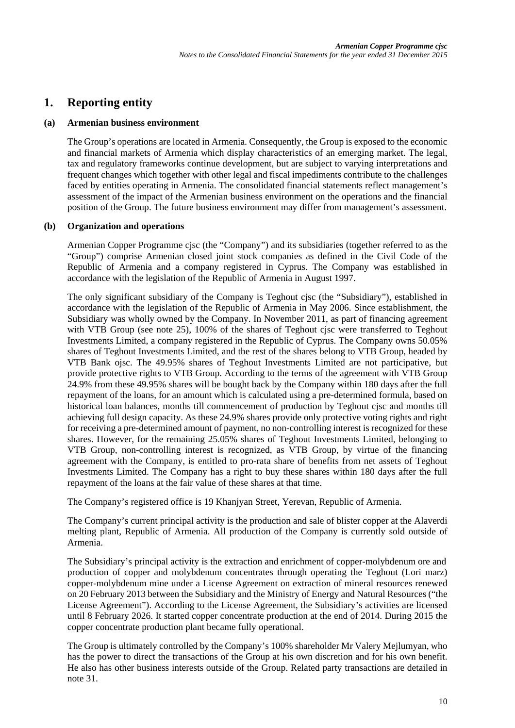## **1. Reporting entity**

### **(a) Armenian business environment**

The Group's operations are located in Armenia. Consequently, the Group is exposed to the economic and financial markets of Armenia which display characteristics of an emerging market. The legal, tax and regulatory frameworks continue development, but are subject to varying interpretations and frequent changes which together with other legal and fiscal impediments contribute to the challenges faced by entities operating in Armenia. The consolidated financial statements reflect management's assessment of the impact of the Armenian business environment on the operations and the financial position of the Group. The future business environment may differ from management's assessment.

### **(b) Organization and operations**

Armenian Copper Programme cjsc (the "Company") and its subsidiaries (together referred to as the "Group") comprise Armenian closed joint stock companies as defined in the Civil Code of the Republic of Armenia and a company registered in Cyprus. The Company was established in accordance with the legislation of the Republic of Armenia in August 1997.

The only significant subsidiary of the Company is Teghout cjsc (the "Subsidiary"), established in accordance with the legislation of the Republic of Armenia in May 2006. Since establishment, the Subsidiary was wholly owned by the Company. In November 2011, as part of financing agreement with VTB Group (see note 25), 100% of the shares of Teghout cjsc were transferred to Teghout Investments Limited, a company registered in the Republic of Cyprus. The Company owns 50.05% shares of Teghout Investments Limited, and the rest of the shares belong to VTB Group, headed by VTB Bank ojsc. The 49.95% shares of Teghout Investments Limited are not participative, but provide protective rights to VTB Group. According to the terms of the agreement with VTB Group 24.9% from these 49.95% shares will be bought back by the Company within 180 days after the full repayment of the loans, for an amount which is calculated using a pre-determined formula, based on historical loan balances, months till commencement of production by Teghout cjsc and months till achieving full design capacity. As these 24.9% shares provide only protective voting rights and right for receiving a pre-determined amount of payment, no non-controlling interest is recognized for these shares. However, for the remaining 25.05% shares of Teghout Investments Limited, belonging to VTB Group, non-controlling interest is recognized, as VTB Group, by virtue of the financing agreement with the Company, is entitled to pro-rata share of benefits from net assets of Teghout Investments Limited. The Company has a right to buy these shares within 180 days after the full repayment of the loans at the fair value of these shares at that time.

The Company's registered office is 19 Khanjyan Street, Yerevan, Republic of Armenia.

The Company's current principal activity is the production and sale of blister copper at the Alaverdi melting plant, Republic of Armenia. All production of the Company is currently sold outside of Armenia.

The Subsidiary's principal activity is the extraction and enrichment of copper-molybdenum ore and production of copper and molybdenum concentrates through operating the Teghout (Lori marz) copper-molybdenum mine under a License Agreement on extraction of mineral resources renewed on 20 February 2013 between the Subsidiary and the Ministry of Energy and Natural Resources ("the License Agreement"). According to the License Agreement, the Subsidiary's activities are licensed until 8 February 2026. It started copper concentrate production at the end of 2014. During 2015 the copper concentrate production plant became fully operational.

The Group is ultimately controlled by the Company's 100% shareholder Mr Valery Mejlumyan, who has the power to direct the transactions of the Group at his own discretion and for his own benefit. He also has other business interests outside of the Group. Related party transactions are detailed in note 31.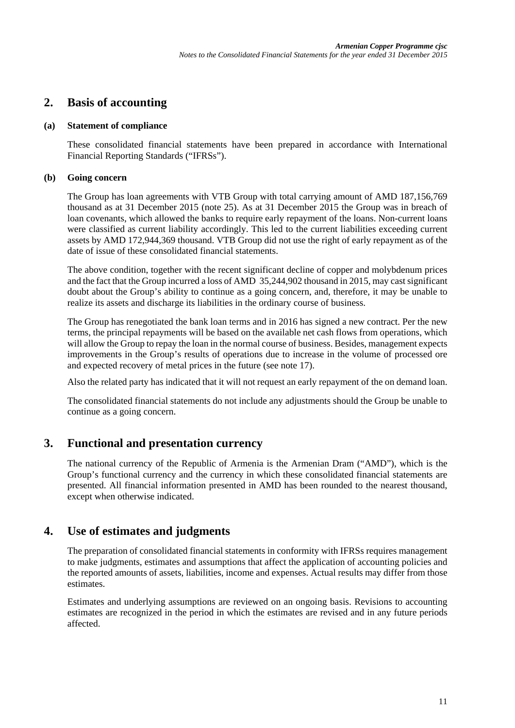## **2. Basis of accounting**

### **(a) Statement of compliance**

These consolidated financial statements have been prepared in accordance with International Financial Reporting Standards ("IFRSs").

### **(b) Going concern**

The Group has loan agreements with VTB Group with total carrying amount of AMD 187,156,769 thousand as at 31 December 2015 (note 25). As at 31 December 2015 the Group was in breach of loan covenants, which allowed the banks to require early repayment of the loans. Non-current loans were classified as current liability accordingly. This led to the current liabilities exceeding current assets by AMD 172,944,369 thousand. VTB Group did not use the right of early repayment as of the date of issue of these consolidated financial statements.

The above condition, together with the recent significant decline of copper and molybdenum prices and the fact that the Group incurred a loss of AMD 35,244,902 thousand in 2015, may cast significant doubt about the Group's ability to continue as a going concern, and, therefore, it may be unable to realize its assets and discharge its liabilities in the ordinary course of business.

The Group has renegotiated the bank loan terms and in 2016 has signed a new contract. Per the new terms, the principal repayments will be based on the available net cash flows from operations, which will allow the Group to repay the loan in the normal course of business. Besides, management expects improvements in the Group's results of operations due to increase in the volume of processed ore and expected recovery of metal prices in the future (see note 17).

Also the related party has indicated that it will not request an early repayment of the on demand loan.

The consolidated financial statements do not include any adjustments should the Group be unable to continue as a going concern.

## **3. Functional and presentation currency**

The national currency of the Republic of Armenia is the Armenian Dram ("AMD"), which is the Group's functional currency and the currency in which these consolidated financial statements are presented. All financial information presented in AMD has been rounded to the nearest thousand, except when otherwise indicated.

## **4. Use of estimates and judgments**

The preparation of consolidated financial statements in conformity with IFRSs requires management to make judgments, estimates and assumptions that affect the application of accounting policies and the reported amounts of assets, liabilities, income and expenses. Actual results may differ from those estimates.

Estimates and underlying assumptions are reviewed on an ongoing basis. Revisions to accounting estimates are recognized in the period in which the estimates are revised and in any future periods affected.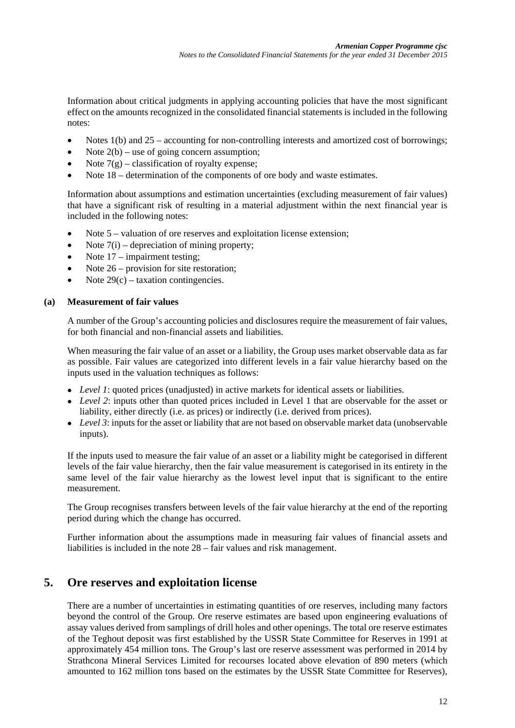Information about critical judgments in applying accounting policies that have the most significant effect on the amounts recognized in the consolidated financial statements is included in the following notes:

- Notes  $1(b)$  and  $25 -$  accounting for non-controlling interests and amortized cost of borrowings;
- Note  $2(b)$  use of going concern assumption;
- Note  $7(g)$  classification of royalty expense;
- Note 18 determination of the components of ore body and waste estimates.

Information about assumptions and estimation uncertainties (excluding measurement of fair values) that have a significant risk of resulting in a material adjustment within the next financial year is included in the following notes:

- Note 5 valuation of ore reserves and exploitation license extension;
- Note  $7(i)$  depreciation of mining property;
- Note 17 impairment testing;
- Note  $26$  provision for site restoration;
- Note  $29(c)$  taxation contingencies.

### **(a) Measurement of fair values**

A number of the Group's accounting policies and disclosures require the measurement of fair values, for both financial and non-financial assets and liabilities.

When measuring the fair value of an asset or a liability, the Group uses market observable data as far as possible. Fair values are categorized into different levels in a fair value hierarchy based on the inputs used in the valuation techniques as follows:

- Level 1: quoted prices (unadjusted) in active markets for identical assets or liabilities.
- Level 2: inputs other than quoted prices included in Level 1 that are observable for the asset or liability, either directly (i.e. as prices) or indirectly (i.e. derived from prices).
- Level 3: inputs for the asset or liability that are not based on observable market data (unobservable inputs).

If the inputs used to measure the fair value of an asset or a liability might be categorised in different levels of the fair value hierarchy, then the fair value measurement is categorised in its entirety in the same level of the fair value hierarchy as the lowest level input that is significant to the entire measurement.

The Group recognises transfers between levels of the fair value hierarchy at the end of the reporting period during which the change has occurred.

Further information about the assumptions made in measuring fair values of financial assets and liabilities is included in the note 28 – fair values and risk management.

## **5. Ore reserves and exploitation license**

There are a number of uncertainties in estimating quantities of ore reserves, including many factors beyond the control of the Group. Ore reserve estimates are based upon engineering evaluations of assay values derived from samplings of drill holes and other openings. The total ore reserve estimates of the Teghout deposit was first established by the USSR State Committee for Reserves in 1991 at approximately 454 million tons. The Group's last ore reserve assessment was performed in 2014 by Strathcona Mineral Services Limited for recourses located above elevation of 890 meters (which amounted to 162 million tons based on the estimates by the USSR State Committee for Reserves),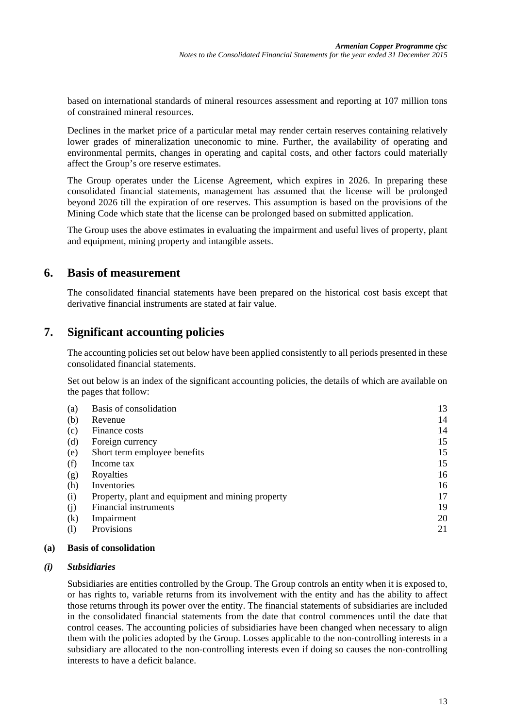based on international standards of mineral resources assessment and reporting at 107 million tons of constrained mineral resources.

Declines in the market price of a particular metal may render certain reserves containing relatively lower grades of mineralization uneconomic to mine. Further, the availability of operating and environmental permits, changes in operating and capital costs, and other factors could materially affect the Group's ore reserve estimates.

The Group operates under the License Agreement, which expires in 2026. In preparing these consolidated financial statements, management has assumed that the license will be prolonged beyond 2026 till the expiration of ore reserves. This assumption is based on the provisions of the Mining Code which state that the license can be prolonged based on submitted application.

The Group uses the above estimates in evaluating the impairment and useful lives of property, plant and equipment, mining property and intangible assets.

### **6. Basis of measurement**

The consolidated financial statements have been prepared on the historical cost basis except that derivative financial instruments are stated at fair value.

## **7. Significant accounting policies**

The accounting policies set out below have been applied consistently to all periods presented in these consolidated financial statements.

Set out below is an index of the significant accounting policies, the details of which are available on the pages that follow:

| (a) | Basis of consolidation                            | 13 |
|-----|---------------------------------------------------|----|
| (b) | Revenue                                           | 14 |
| (c) | Finance costs                                     | 14 |
| (d) | Foreign currency                                  | 15 |
| (e) | Short term employee benefits                      | 15 |
| (f) | Income tax                                        | 15 |
| (g) | Royalties                                         | 16 |
| (h) | Inventories                                       | 16 |
| (i) | Property, plant and equipment and mining property | 17 |
| (j) | Financial instruments                             | 19 |
| (k) | Impairment                                        | 20 |
| (1) | Provisions                                        | 21 |

### **(a) Basis of consolidation**

### *(i) Subsidiaries*

Subsidiaries are entities controlled by the Group. The Group controls an entity when it is exposed to, or has rights to, variable returns from its involvement with the entity and has the ability to affect those returns through its power over the entity. The financial statements of subsidiaries are included in the consolidated financial statements from the date that control commences until the date that control ceases. The accounting policies of subsidiaries have been changed when necessary to align them with the policies adopted by the Group. Losses applicable to the non-controlling interests in a subsidiary are allocated to the non-controlling interests even if doing so causes the non-controlling interests to have a deficit balance.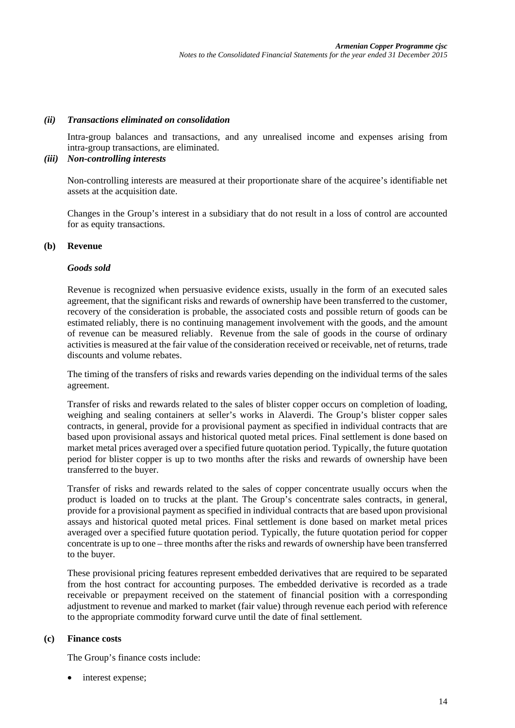### *(ii) Transactions eliminated on consolidation*

Intra-group balances and transactions, and any unrealised income and expenses arising from intra-group transactions, are eliminated.

### *(iii) Non-controlling interests*

Non-controlling interests are measured at their proportionate share of the acquiree's identifiable net assets at the acquisition date.

Changes in the Group's interest in a subsidiary that do not result in a loss of control are accounted for as equity transactions.

### **(b) Revenue**

### *Goods sold*

Revenue is recognized when persuasive evidence exists, usually in the form of an executed sales agreement, that the significant risks and rewards of ownership have been transferred to the customer, recovery of the consideration is probable, the associated costs and possible return of goods can be estimated reliably, there is no continuing management involvement with the goods, and the amount of revenue can be measured reliably. Revenue from the sale of goods in the course of ordinary activities is measured at the fair value of the consideration received or receivable, net of returns, trade discounts and volume rebates.

The timing of the transfers of risks and rewards varies depending on the individual terms of the sales agreement.

Transfer of risks and rewards related to the sales of blister copper occurs on completion of loading, weighing and sealing containers at seller's works in Alaverdi. The Group's blister copper sales contracts, in general, provide for a provisional payment as specified in individual contracts that are based upon provisional assays and historical quoted metal prices. Final settlement is done based on market metal prices averaged over a specified future quotation period. Typically, the future quotation period for blister copper is up to two months after the risks and rewards of ownership have been transferred to the buyer.

Transfer of risks and rewards related to the sales of copper concentrate usually occurs when the product is loaded on to trucks at the plant. The Group's concentrate sales contracts, in general, provide for a provisional payment as specified in individual contracts that are based upon provisional assays and historical quoted metal prices. Final settlement is done based on market metal prices averaged over a specified future quotation period. Typically, the future quotation period for copper concentrate is up to one – three months after the risks and rewards of ownership have been transferred to the buyer.

These provisional pricing features represent embedded derivatives that are required to be separated from the host contract for accounting purposes. The embedded derivative is recorded as a trade receivable or prepayment received on the statement of financial position with a corresponding adjustment to revenue and marked to market (fair value) through revenue each period with reference to the appropriate commodity forward curve until the date of final settlement.

### **(c) Finance costs**

The Group's finance costs include:

interest expense;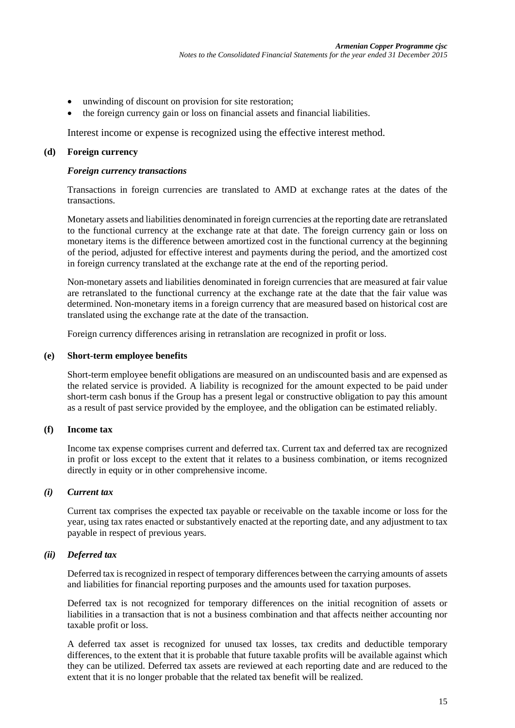- unwinding of discount on provision for site restoration;
- the foreign currency gain or loss on financial assets and financial liabilities.

Interest income or expense is recognized using the effective interest method.

### **(d) Foreign currency**

### *Foreign currency transactions*

Transactions in foreign currencies are translated to AMD at exchange rates at the dates of the transactions.

Monetary assets and liabilities denominated in foreign currencies at the reporting date are retranslated to the functional currency at the exchange rate at that date. The foreign currency gain or loss on monetary items is the difference between amortized cost in the functional currency at the beginning of the period, adjusted for effective interest and payments during the period, and the amortized cost in foreign currency translated at the exchange rate at the end of the reporting period.

Non-monetary assets and liabilities denominated in foreign currencies that are measured at fair value are retranslated to the functional currency at the exchange rate at the date that the fair value was determined. Non-monetary items in a foreign currency that are measured based on historical cost are translated using the exchange rate at the date of the transaction.

Foreign currency differences arising in retranslation are recognized in profit or loss.

### **(e) Short-term employee benefits**

Short-term employee benefit obligations are measured on an undiscounted basis and are expensed as the related service is provided. A liability is recognized for the amount expected to be paid under short-term cash bonus if the Group has a present legal or constructive obligation to pay this amount as a result of past service provided by the employee, and the obligation can be estimated reliably.

### **(f) Income tax**

Income tax expense comprises current and deferred tax. Current tax and deferred tax are recognized in profit or loss except to the extent that it relates to a business combination, or items recognized directly in equity or in other comprehensive income.

### *(i) Current tax*

Current tax comprises the expected tax payable or receivable on the taxable income or loss for the year, using tax rates enacted or substantively enacted at the reporting date, and any adjustment to tax payable in respect of previous years.

### *(ii) Deferred tax*

Deferred tax is recognized in respect of temporary differences between the carrying amounts of assets and liabilities for financial reporting purposes and the amounts used for taxation purposes.

Deferred tax is not recognized for temporary differences on the initial recognition of assets or liabilities in a transaction that is not a business combination and that affects neither accounting nor taxable profit or loss.

A deferred tax asset is recognized for unused tax losses, tax credits and deductible temporary differences, to the extent that it is probable that future taxable profits will be available against which they can be utilized. Deferred tax assets are reviewed at each reporting date and are reduced to the extent that it is no longer probable that the related tax benefit will be realized.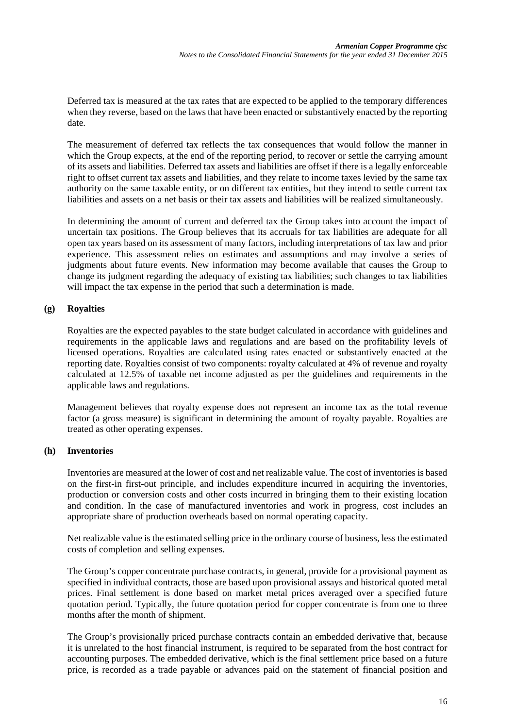Deferred tax is measured at the tax rates that are expected to be applied to the temporary differences when they reverse, based on the laws that have been enacted or substantively enacted by the reporting date.

The measurement of deferred tax reflects the tax consequences that would follow the manner in which the Group expects, at the end of the reporting period, to recover or settle the carrying amount of its assets and liabilities. Deferred tax assets and liabilities are offset if there is a legally enforceable right to offset current tax assets and liabilities, and they relate to income taxes levied by the same tax authority on the same taxable entity, or on different tax entities, but they intend to settle current tax liabilities and assets on a net basis or their tax assets and liabilities will be realized simultaneously.

In determining the amount of current and deferred tax the Group takes into account the impact of uncertain tax positions. The Group believes that its accruals for tax liabilities are adequate for all open tax years based on its assessment of many factors, including interpretations of tax law and prior experience. This assessment relies on estimates and assumptions and may involve a series of judgments about future events. New information may become available that causes the Group to change its judgment regarding the adequacy of existing tax liabilities; such changes to tax liabilities will impact the tax expense in the period that such a determination is made.

### **(g) Royalties**

Royalties are the expected payables to the state budget calculated in accordance with guidelines and requirements in the applicable laws and regulations and are based on the profitability levels of licensed operations. Royalties are calculated using rates enacted or substantively enacted at the reporting date. Royalties consist of two components: royalty calculated at 4% of revenue and royalty calculated at 12.5% of taxable net income adjusted as per the guidelines and requirements in the applicable laws and regulations.

Management believes that royalty expense does not represent an income tax as the total revenue factor (a gross measure) is significant in determining the amount of royalty payable. Royalties are treated as other operating expenses.

### **(h) Inventories**

Inventories are measured at the lower of cost and net realizable value. The cost of inventories is based on the first-in first-out principle, and includes expenditure incurred in acquiring the inventories, production or conversion costs and other costs incurred in bringing them to their existing location and condition. In the case of manufactured inventories and work in progress, cost includes an appropriate share of production overheads based on normal operating capacity.

Net realizable value is the estimated selling price in the ordinary course of business, less the estimated costs of completion and selling expenses.

The Group's copper concentrate purchase contracts, in general, provide for a provisional payment as specified in individual contracts, those are based upon provisional assays and historical quoted metal prices. Final settlement is done based on market metal prices averaged over a specified future quotation period. Typically, the future quotation period for copper concentrate is from one to three months after the month of shipment.

The Group's provisionally priced purchase contracts contain an embedded derivative that, because it is unrelated to the host financial instrument, is required to be separated from the host contract for accounting purposes. The embedded derivative, which is the final settlement price based on a future price, is recorded as a trade payable or advances paid on the statement of financial position and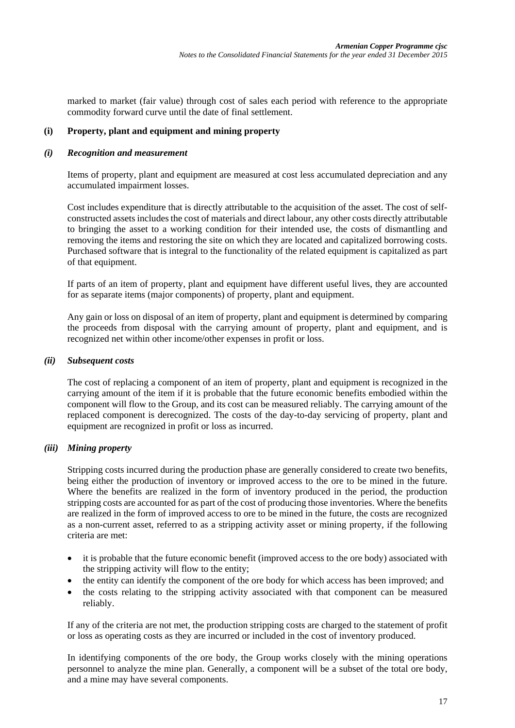marked to market (fair value) through cost of sales each period with reference to the appropriate commodity forward curve until the date of final settlement.

### **(i) Property, plant and equipment and mining property**

### *(i) Recognition and measurement*

Items of property, plant and equipment are measured at cost less accumulated depreciation and any accumulated impairment losses.

Cost includes expenditure that is directly attributable to the acquisition of the asset. The cost of selfconstructed assets includes the cost of materials and direct labour, any other costs directly attributable to bringing the asset to a working condition for their intended use, the costs of dismantling and removing the items and restoring the site on which they are located and capitalized borrowing costs. Purchased software that is integral to the functionality of the related equipment is capitalized as part of that equipment.

If parts of an item of property, plant and equipment have different useful lives, they are accounted for as separate items (major components) of property, plant and equipment.

Any gain or loss on disposal of an item of property, plant and equipment is determined by comparing the proceeds from disposal with the carrying amount of property, plant and equipment, and is recognized net within other income/other expenses in profit or loss.

### *(ii) Subsequent costs*

The cost of replacing a component of an item of property, plant and equipment is recognized in the carrying amount of the item if it is probable that the future economic benefits embodied within the component will flow to the Group, and its cost can be measured reliably. The carrying amount of the replaced component is derecognized. The costs of the day-to-day servicing of property, plant and equipment are recognized in profit or loss as incurred.

### *(iii) Mining property*

Stripping costs incurred during the production phase are generally considered to create two benefits, being either the production of inventory or improved access to the ore to be mined in the future. Where the benefits are realized in the form of inventory produced in the period, the production stripping costs are accounted for as part of the cost of producing those inventories. Where the benefits are realized in the form of improved access to ore to be mined in the future, the costs are recognized as a non-current asset, referred to as a stripping activity asset or mining property, if the following criteria are met:

- it is probable that the future economic benefit (improved access to the ore body) associated with the stripping activity will flow to the entity;
- the entity can identify the component of the ore body for which access has been improved; and
- the costs relating to the stripping activity associated with that component can be measured reliably.

If any of the criteria are not met, the production stripping costs are charged to the statement of profit or loss as operating costs as they are incurred or included in the cost of inventory produced.

In identifying components of the ore body, the Group works closely with the mining operations personnel to analyze the mine plan. Generally, a component will be a subset of the total ore body, and a mine may have several components.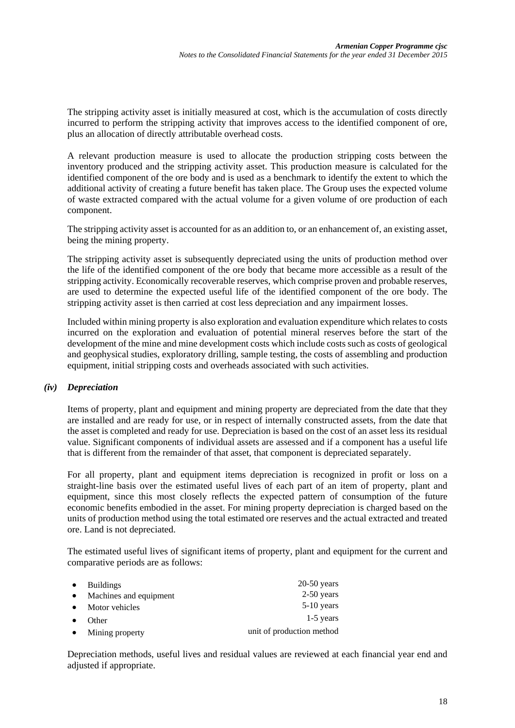The stripping activity asset is initially measured at cost, which is the accumulation of costs directly incurred to perform the stripping activity that improves access to the identified component of ore, plus an allocation of directly attributable overhead costs.

A relevant production measure is used to allocate the production stripping costs between the inventory produced and the stripping activity asset. This production measure is calculated for the identified component of the ore body and is used as a benchmark to identify the extent to which the additional activity of creating a future benefit has taken place. The Group uses the expected volume of waste extracted compared with the actual volume for a given volume of ore production of each component.

The stripping activity asset is accounted for as an addition to, or an enhancement of, an existing asset, being the mining property.

The stripping activity asset is subsequently depreciated using the units of production method over the life of the identified component of the ore body that became more accessible as a result of the stripping activity. Economically recoverable reserves, which comprise proven and probable reserves, are used to determine the expected useful life of the identified component of the ore body. The stripping activity asset is then carried at cost less depreciation and any impairment losses.

Included within mining property is also exploration and evaluation expenditure which relates to costs incurred on the exploration and evaluation of potential mineral reserves before the start of the development of the mine and mine development costs which include costs such as costs of geological and geophysical studies, exploratory drilling, sample testing, the costs of assembling and production equipment, initial stripping costs and overheads associated with such activities.

### *(iv) Depreciation*

Items of property, plant and equipment and mining property are depreciated from the date that they are installed and are ready for use, or in respect of internally constructed assets, from the date that the asset is completed and ready for use. Depreciation is based on the cost of an asset less its residual value. Significant components of individual assets are assessed and if a component has a useful life that is different from the remainder of that asset, that component is depreciated separately.

For all property, plant and equipment items depreciation is recognized in profit or loss on a straight-line basis over the estimated useful lives of each part of an item of property, plant and equipment, since this most closely reflects the expected pattern of consumption of the future economic benefits embodied in the asset. For mining property depreciation is charged based on the units of production method using the total estimated ore reserves and the actual extracted and treated ore. Land is not depreciated.

The estimated useful lives of significant items of property, plant and equipment for the current and comparative periods are as follows:

| $\bullet$ | <b>Buildings</b>         | $20-50$ years             |
|-----------|--------------------------|---------------------------|
|           | • Machines and equipment | $2-50$ years              |
|           | • Motor vehicles         | $5-10$ years              |
| $\bullet$ | Other                    | $1-5$ years               |
|           | • Mining property        | unit of production method |

Depreciation methods, useful lives and residual values are reviewed at each financial year end and adjusted if appropriate.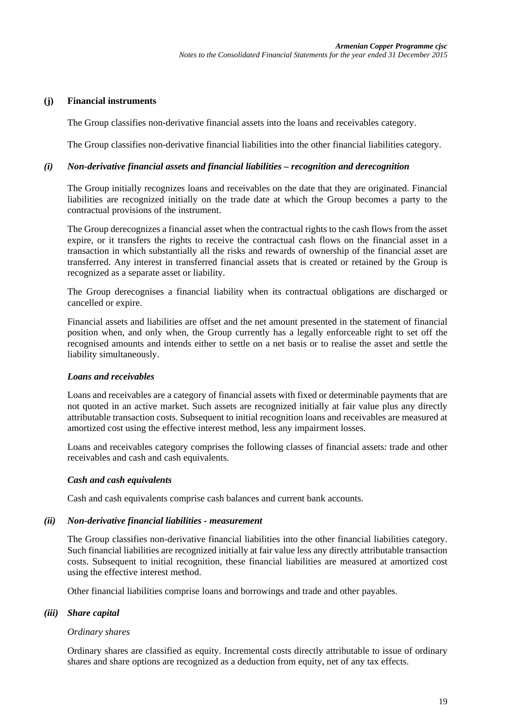### **(j) Financial instruments**

The Group classifies non-derivative financial assets into the loans and receivables category.

The Group classifies non-derivative financial liabilities into the other financial liabilities category.

### *(i) Non-derivative financial assets and financial liabilities – recognition and derecognition*

The Group initially recognizes loans and receivables on the date that they are originated. Financial liabilities are recognized initially on the trade date at which the Group becomes a party to the contractual provisions of the instrument.

The Group derecognizes a financial asset when the contractual rights to the cash flows from the asset expire, or it transfers the rights to receive the contractual cash flows on the financial asset in a transaction in which substantially all the risks and rewards of ownership of the financial asset are transferred. Any interest in transferred financial assets that is created or retained by the Group is recognized as a separate asset or liability.

The Group derecognises a financial liability when its contractual obligations are discharged or cancelled or expire.

Financial assets and liabilities are offset and the net amount presented in the statement of financial position when, and only when, the Group currently has a legally enforceable right to set off the recognised amounts and intends either to settle on a net basis or to realise the asset and settle the liability simultaneously.

### *Loans and receivables*

Loans and receivables are a category of financial assets with fixed or determinable payments that are not quoted in an active market. Such assets are recognized initially at fair value plus any directly attributable transaction costs. Subsequent to initial recognition loans and receivables are measured at amortized cost using the effective interest method, less any impairment losses.

Loans and receivables category comprises the following classes of financial assets: trade and other receivables and cash and cash equivalents.

### *Cash and cash equivalents*

Cash and cash equivalents comprise cash balances and current bank accounts.

### *(ii) Non-derivative financial liabilities - measurement*

The Group classifies non-derivative financial liabilities into the other financial liabilities category. Such financial liabilities are recognized initially at fair value less any directly attributable transaction costs. Subsequent to initial recognition, these financial liabilities are measured at amortized cost using the effective interest method.

Other financial liabilities comprise loans and borrowings and trade and other payables.

### *(iii) Share capital*

### *Ordinary shares*

Ordinary shares are classified as equity. Incremental costs directly attributable to issue of ordinary shares and share options are recognized as a deduction from equity, net of any tax effects.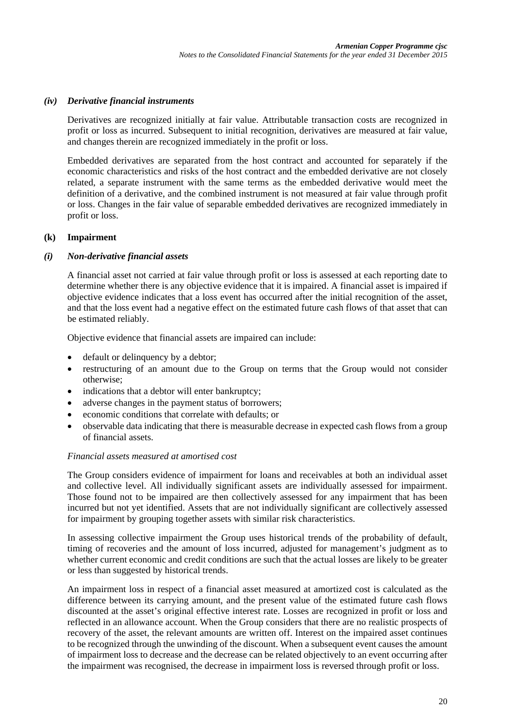### *(iv) Derivative financial instruments*

Derivatives are recognized initially at fair value. Attributable transaction costs are recognized in profit or loss as incurred. Subsequent to initial recognition, derivatives are measured at fair value, and changes therein are recognized immediately in the profit or loss.

Embedded derivatives are separated from the host contract and accounted for separately if the economic characteristics and risks of the host contract and the embedded derivative are not closely related, a separate instrument with the same terms as the embedded derivative would meet the definition of a derivative, and the combined instrument is not measured at fair value through profit or loss. Changes in the fair value of separable embedded derivatives are recognized immediately in profit or loss.

### **(k) Impairment**

### *(i) Non-derivative financial assets*

A financial asset not carried at fair value through profit or loss is assessed at each reporting date to determine whether there is any objective evidence that it is impaired. A financial asset is impaired if objective evidence indicates that a loss event has occurred after the initial recognition of the asset, and that the loss event had a negative effect on the estimated future cash flows of that asset that can be estimated reliably.

Objective evidence that financial assets are impaired can include:

- default or delinquency by a debtor;
- restructuring of an amount due to the Group on terms that the Group would not consider otherwise;
- indications that a debtor will enter bankruptcy;
- adverse changes in the payment status of borrowers;
- economic conditions that correlate with defaults; or
- observable data indicating that there is measurable decrease in expected cash flows from a group of financial assets.

### *Financial assets measured at amortised cost*

The Group considers evidence of impairment for loans and receivables at both an individual asset and collective level. All individually significant assets are individually assessed for impairment. Those found not to be impaired are then collectively assessed for any impairment that has been incurred but not yet identified. Assets that are not individually significant are collectively assessed for impairment by grouping together assets with similar risk characteristics.

In assessing collective impairment the Group uses historical trends of the probability of default, timing of recoveries and the amount of loss incurred, adjusted for management's judgment as to whether current economic and credit conditions are such that the actual losses are likely to be greater or less than suggested by historical trends.

An impairment loss in respect of a financial asset measured at amortized cost is calculated as the difference between its carrying amount, and the present value of the estimated future cash flows discounted at the asset's original effective interest rate. Losses are recognized in profit or loss and reflected in an allowance account. When the Group considers that there are no realistic prospects of recovery of the asset, the relevant amounts are written off. Interest on the impaired asset continues to be recognized through the unwinding of the discount. When a subsequent event causes the amount of impairment loss to decrease and the decrease can be related objectively to an event occurring after the impairment was recognised, the decrease in impairment loss is reversed through profit or loss.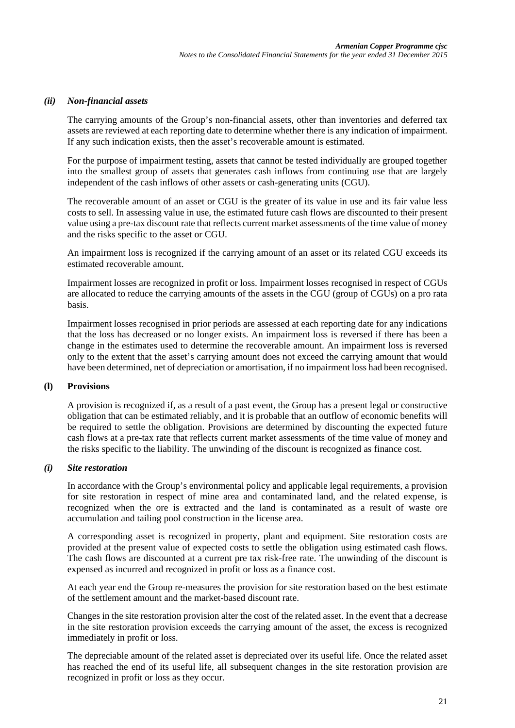### *(ii) Non-financial assets*

The carrying amounts of the Group's non-financial assets, other than inventories and deferred tax assets are reviewed at each reporting date to determine whether there is any indication of impairment. If any such indication exists, then the asset's recoverable amount is estimated.

For the purpose of impairment testing, assets that cannot be tested individually are grouped together into the smallest group of assets that generates cash inflows from continuing use that are largely independent of the cash inflows of other assets or cash-generating units (CGU).

The recoverable amount of an asset or CGU is the greater of its value in use and its fair value less costs to sell. In assessing value in use, the estimated future cash flows are discounted to their present value using a pre-tax discount rate that reflects current market assessments of the time value of money and the risks specific to the asset or CGU.

An impairment loss is recognized if the carrying amount of an asset or its related CGU exceeds its estimated recoverable amount.

Impairment losses are recognized in profit or loss. Impairment losses recognised in respect of CGUs are allocated to reduce the carrying amounts of the assets in the CGU (group of CGUs) on a pro rata basis.

Impairment losses recognised in prior periods are assessed at each reporting date for any indications that the loss has decreased or no longer exists. An impairment loss is reversed if there has been a change in the estimates used to determine the recoverable amount. An impairment loss is reversed only to the extent that the asset's carrying amount does not exceed the carrying amount that would have been determined, net of depreciation or amortisation, if no impairment loss had been recognised.

### **(l) Provisions**

A provision is recognized if, as a result of a past event, the Group has a present legal or constructive obligation that can be estimated reliably, and it is probable that an outflow of economic benefits will be required to settle the obligation. Provisions are determined by discounting the expected future cash flows at a pre-tax rate that reflects current market assessments of the time value of money and the risks specific to the liability. The unwinding of the discount is recognized as finance cost.

### *(i) Site restoration*

In accordance with the Group's environmental policy and applicable legal requirements, a provision for site restoration in respect of mine area and contaminated land, and the related expense, is recognized when the ore is extracted and the land is contaminated as a result of waste ore accumulation and tailing pool construction in the license area.

A corresponding asset is recognized in property, plant and equipment. Site restoration costs are provided at the present value of expected costs to settle the obligation using estimated cash flows. The cash flows are discounted at a current pre tax risk-free rate. The unwinding of the discount is expensed as incurred and recognized in profit or loss as a finance cost.

At each year end the Group re-measures the provision for site restoration based on the best estimate of the settlement amount and the market-based discount rate.

Changes in the site restoration provision alter the cost of the related asset. In the event that a decrease in the site restoration provision exceeds the carrying amount of the asset, the excess is recognized immediately in profit or loss.

The depreciable amount of the related asset is depreciated over its useful life. Once the related asset has reached the end of its useful life, all subsequent changes in the site restoration provision are recognized in profit or loss as they occur.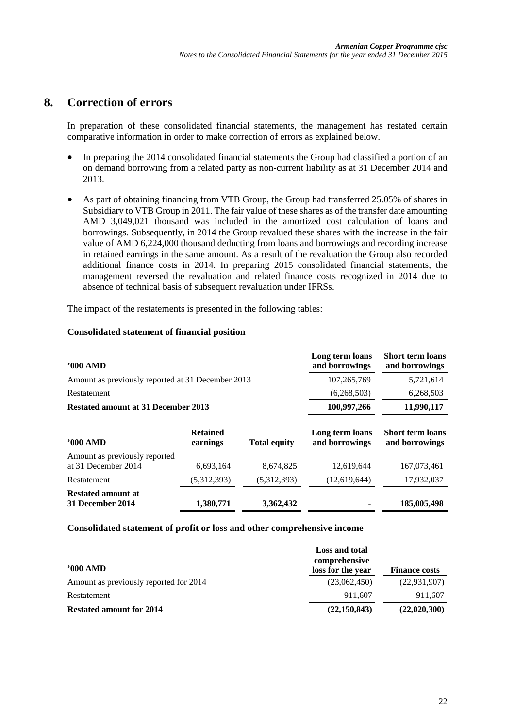## **8. Correction of errors**

In preparation of these consolidated financial statements, the management has restated certain comparative information in order to make correction of errors as explained below.

- In preparing the 2014 consolidated financial statements the Group had classified a portion of an on demand borrowing from a related party as non-current liability as at 31 December 2014 and 2013.
- As part of obtaining financing from VTB Group, the Group had transferred 25.05% of shares in Subsidiary to VTB Group in 2011. The fair value of these shares as of the transfer date amounting AMD 3,049,021 thousand was included in the amortized cost calculation of loans and borrowings. Subsequently, in 2014 the Group revalued these shares with the increase in the fair value of AMD 6,224,000 thousand deducting from loans and borrowings and recording increase in retained earnings in the same amount. As a result of the revaluation the Group also recorded additional finance costs in 2014. In preparing 2015 consolidated financial statements, the management reversed the revaluation and related finance costs recognized in 2014 due to absence of technical basis of subsequent revaluation under IFRSs.

The impact of the restatements is presented in the following tables:

### **Consolidated statement of financial position**

| '000 AMD                                             |                             |                     | Long term loans<br>and borrowings | <b>Short term loans</b><br>and borrowings |
|------------------------------------------------------|-----------------------------|---------------------|-----------------------------------|-------------------------------------------|
| Amount as previously reported at 31 December 2013    | 107,265,769                 | 5,721,614           |                                   |                                           |
| Restatement                                          | (6,268,503)                 | 6,268,503           |                                   |                                           |
| <b>Restated amount at 31 December 2013</b>           |                             | 100,997,266         | 11,990,117                        |                                           |
| '000 AMD                                             | <b>Retained</b><br>earnings | <b>Total equity</b> | Long term loans<br>and borrowings | <b>Short term loans</b><br>and borrowings |
| Amount as previously reported<br>at 31 December 2014 | 6.693.164                   | 8,674,825           | 12,619,644                        | 167,073,461                               |
| Restatement                                          | (5,312,393)                 | (5,312,393)         | (12,619,644)                      | 17,932,037                                |
| <b>Restated amount at</b><br>31 December 2014        | 1,380,771                   | 3,362,432           |                                   | 185,005,498                               |

#### **Consolidated statement of profit or loss and other comprehensive income**

|                                        | <b>Loss and total</b><br>comprehensive |                      |
|----------------------------------------|----------------------------------------|----------------------|
| '000 AMD                               | loss for the year                      | <b>Finance costs</b> |
| Amount as previously reported for 2014 | (23,062,450)                           | (22, 931, 907)       |
| Restatement                            | 911.607                                | 911,607              |
| <b>Restated amount for 2014</b>        | (22, 150, 843)                         | (22,020,300)         |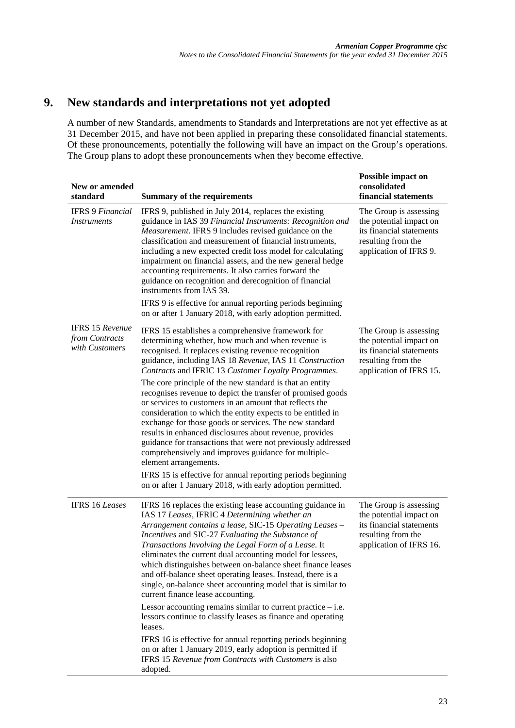## **9. New standards and interpretations not yet adopted**

A number of new Standards, amendments to Standards and Interpretations are not yet effective as at 31 December 2015, and have not been applied in preparing these consolidated financial statements. Of these pronouncements, potentially the following will have an impact on the Group's operations. The Group plans to adopt these pronouncements when they become effective.

| New or amended<br>standard                                 | <b>Summary of the requirements</b>                                                                                                                                                                                                                                                                                                                                                                                                                                                                                                                                                                                                                                                                                                                                                                                                                                                                                                      | <b>Possible impact on</b><br>consolidated<br>financial statements                                                              |
|------------------------------------------------------------|-----------------------------------------------------------------------------------------------------------------------------------------------------------------------------------------------------------------------------------------------------------------------------------------------------------------------------------------------------------------------------------------------------------------------------------------------------------------------------------------------------------------------------------------------------------------------------------------------------------------------------------------------------------------------------------------------------------------------------------------------------------------------------------------------------------------------------------------------------------------------------------------------------------------------------------------|--------------------------------------------------------------------------------------------------------------------------------|
| <b>IFRS</b> 9 <i>Financial</i><br><i>Instruments</i>       | IFRS 9, published in July 2014, replaces the existing<br>guidance in IAS 39 Financial Instruments: Recognition and<br>Measurement. IFRS 9 includes revised guidance on the<br>classification and measurement of financial instruments,<br>including a new expected credit loss model for calculating<br>impairment on financial assets, and the new general hedge<br>accounting requirements. It also carries forward the<br>guidance on recognition and derecognition of financial<br>instruments from IAS 39.<br>IFRS 9 is effective for annual reporting periods beginning<br>on or after 1 January 2018, with early adoption permitted.                                                                                                                                                                                                                                                                                             | The Group is assessing<br>the potential impact on<br>its financial statements<br>resulting from the<br>application of IFRS 9.  |
| <b>IFRS 15 Revenue</b><br>from Contracts<br>with Customers | IFRS 15 establishes a comprehensive framework for<br>determining whether, how much and when revenue is<br>recognised. It replaces existing revenue recognition<br>guidance, including IAS 18 Revenue, IAS 11 Construction<br>Contracts and IFRIC 13 Customer Loyalty Programmes.<br>The core principle of the new standard is that an entity<br>recognises revenue to depict the transfer of promised goods<br>or services to customers in an amount that reflects the<br>consideration to which the entity expects to be entitled in<br>exchange for those goods or services. The new standard<br>results in enhanced disclosures about revenue, provides<br>guidance for transactions that were not previously addressed<br>comprehensively and improves guidance for multiple-<br>element arrangements.<br>IFRS 15 is effective for annual reporting periods beginning<br>on or after 1 January 2018, with early adoption permitted. | The Group is assessing<br>the potential impact on<br>its financial statements<br>resulting from the<br>application of IFRS 15. |
| <b>IFRS</b> 16 Leases                                      | IFRS 16 replaces the existing lease accounting guidance in<br>IAS 17 Leases, IFRIC 4 Determining whether an<br>Arrangement contains a lease, SIC-15 Operating Leases -<br>Incentives and SIC-27 Evaluating the Substance of<br>Transactions Involving the Legal Form of a Lease. It<br>eliminates the current dual accounting model for lessees,<br>which distinguishes between on-balance sheet finance leases<br>and off-balance sheet operating leases. Instead, there is a<br>single, on-balance sheet accounting model that is similar to<br>current finance lease accounting.<br>Lessor accounting remains similar to current practice $-$ i.e.<br>lessors continue to classify leases as finance and operating<br>leases.<br>IFRS 16 is effective for annual reporting periods beginning<br>on or after 1 January 2019, early adoption is permitted if<br>IFRS 15 Revenue from Contracts with Customers is also<br>adopted.      | The Group is assessing<br>the potential impact on<br>its financial statements<br>resulting from the<br>application of IFRS 16. |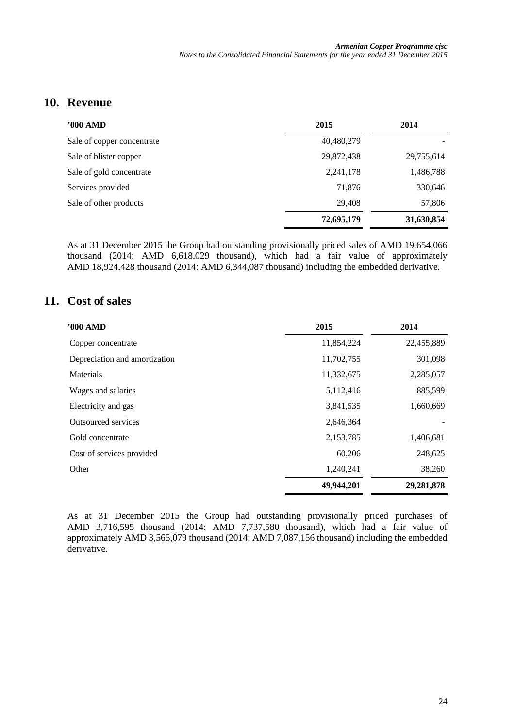## **10. Revenue**

| '000 AMD                   | 2015       | 2014       |
|----------------------------|------------|------------|
| Sale of copper concentrate | 40,480,279 |            |
| Sale of blister copper     | 29,872,438 | 29,755,614 |
| Sale of gold concentrate   | 2,241,178  | 1,486,788  |
| Services provided          | 71,876     | 330,646    |
| Sale of other products     | 29.408     | 57,806     |
|                            | 72,695,179 | 31,630,854 |

As at 31 December 2015 the Group had outstanding provisionally priced sales of AMD 19,654,066 thousand (2014: AMD 6,618,029 thousand), which had a fair value of approximately AMD 18,924,428 thousand (2014: AMD 6,344,087 thousand) including the embedded derivative.

## **11. Cost of sales**

| '000 AMD                      | 2015       | 2014       |
|-------------------------------|------------|------------|
| Copper concentrate            | 11,854,224 | 22,455,889 |
| Depreciation and amortization | 11,702,755 | 301,098    |
| Materials                     | 11,332,675 | 2,285,057  |
| Wages and salaries            | 5,112,416  | 885,599    |
| Electricity and gas           | 3,841,535  | 1,660,669  |
| Outsourced services           | 2,646,364  |            |
| Gold concentrate              | 2,153,785  | 1,406,681  |
| Cost of services provided     | 60,206     | 248,625    |
| Other                         | 1,240,241  | 38,260     |
|                               | 49,944,201 | 29,281,878 |

As at 31 December 2015 the Group had outstanding provisionally priced purchases of AMD 3,716,595 thousand (2014: AMD 7,737,580 thousand), which had a fair value of approximately AMD 3,565,079 thousand (2014: AMD 7,087,156 thousand) including the embedded derivative.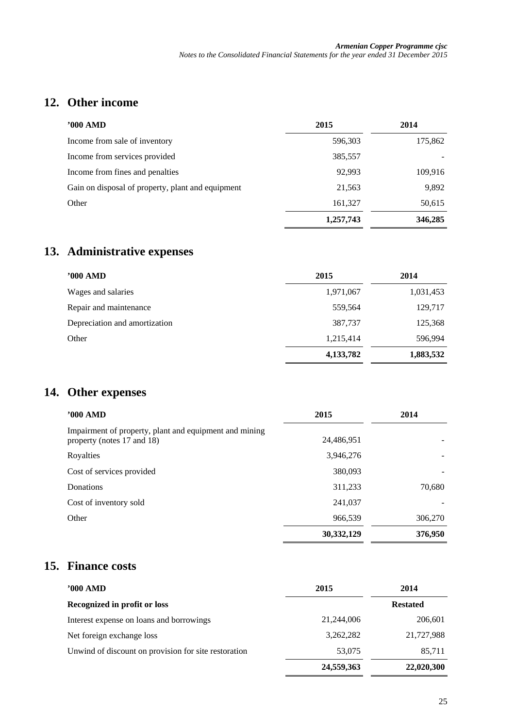# **12. Other income**

| '000 AMD                                          | 2015      | 2014    |
|---------------------------------------------------|-----------|---------|
| Income from sale of inventory                     | 596,303   | 175,862 |
| Income from services provided                     | 385,557   |         |
| Income from fines and penalties                   | 92.993    | 109,916 |
| Gain on disposal of property, plant and equipment | 21,563    | 9,892   |
| Other                                             | 161,327   | 50,615  |
|                                                   | 1,257,743 | 346,285 |

# **13. Administrative expenses**

| '000 AMD                      | 2015      | 2014      |
|-------------------------------|-----------|-----------|
| Wages and salaries            | 1,971,067 | 1,031,453 |
| Repair and maintenance        | 559,564   | 129,717   |
| Depreciation and amortization | 387,737   | 125,368   |
| Other                         | 1,215,414 | 596,994   |
|                               | 4,133,782 | 1,883,532 |

# **14. Other expenses**

| '000 AMD                                                                             | 2015       | 2014    |
|--------------------------------------------------------------------------------------|------------|---------|
| Impairment of property, plant and equipment and mining<br>property (notes 17 and 18) | 24,486,951 |         |
| Royalties                                                                            | 3,946,276  |         |
| Cost of services provided                                                            | 380,093    |         |
| Donations                                                                            | 311,233    | 70,680  |
| Cost of inventory sold                                                               | 241,037    |         |
| Other                                                                                | 966,539    | 306,270 |
|                                                                                      | 30,332,129 | 376,950 |

# **15. Finance costs**

| '000 AMD                                             | 2015       | 2014            |
|------------------------------------------------------|------------|-----------------|
| Recognized in profit or loss                         |            | <b>Restated</b> |
| Interest expense on loans and borrowings             | 21,244,006 | 206,601         |
| Net foreign exchange loss                            | 3,262,282  | 21,727,988      |
| Unwind of discount on provision for site restoration | 53,075     | 85,711          |
|                                                      | 24,559,363 | 22,020,300      |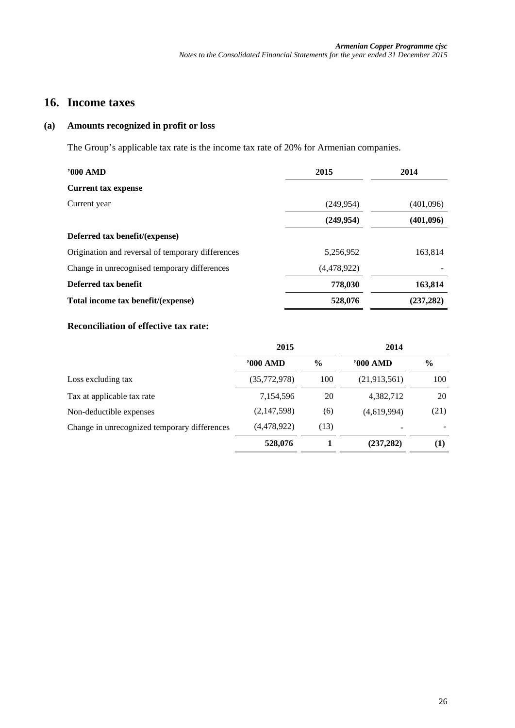## **16. Income taxes**

### **(a) Amounts recognized in profit or loss**

The Group's applicable tax rate is the income tax rate of 20% for Armenian companies.

| '000 AMD                                          | 2015        | 2014       |
|---------------------------------------------------|-------------|------------|
| <b>Current tax expense</b>                        |             |            |
| Current year                                      | (249, 954)  | (401,096)  |
|                                                   | (249, 954)  | (401,096)  |
| Deferred tax benefit/(expense)                    |             |            |
| Origination and reversal of temporary differences | 5,256,952   | 163,814    |
| Change in unrecognised temporary differences      | (4,478,922) |            |
| Deferred tax benefit                              | 778,030     | 163,814    |
| Total income tax benefit/(expense)                | 528,076     | (237, 282) |

### **Reconciliation of effective tax rate:**

|                                              | 2015           |               | 2014         |                  |
|----------------------------------------------|----------------|---------------|--------------|------------------|
|                                              | '000 AMD       | $\frac{0}{0}$ | '000 AMD     | $\frac{6}{6}$    |
| Loss excluding tax                           | (35, 772, 978) | 100           | (21,913,561) | 100              |
| Tax at applicable tax rate                   | 7,154,596      | 20            | 4,382,712    | 20               |
| Non-deductible expenses                      | (2,147,598)    | (6)           | (4,619,994)  | (21)             |
| Change in unrecognized temporary differences | (4,478,922)    | (13)          |              |                  |
|                                              | 528,076        |               | (237, 282)   | $\left(1\right)$ |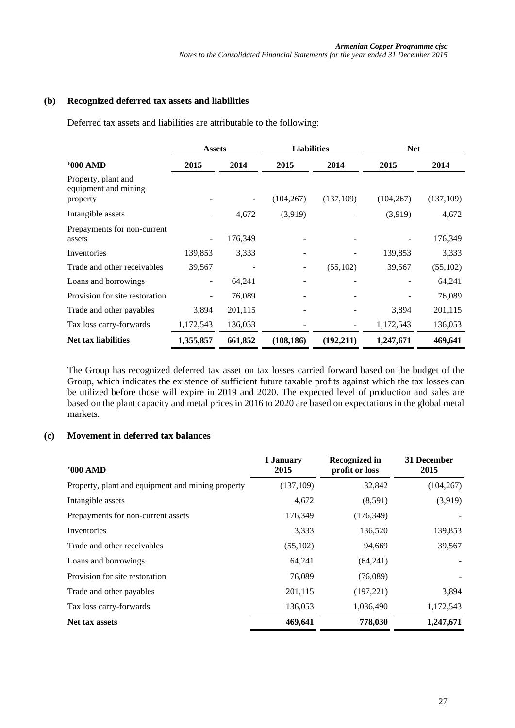### **(b) Recognized deferred tax assets and liabilities**

Deferred tax assets and liabilities are attributable to the following:

|                                                         | <b>Assets</b> |         | <b>Liabilities</b> |            |            |            | <b>Net</b> |  |
|---------------------------------------------------------|---------------|---------|--------------------|------------|------------|------------|------------|--|
| '000 AMD                                                | 2015          | 2014    | 2015               | 2014       | 2015       | 2014       |            |  |
| Property, plant and<br>equipment and mining<br>property |               |         | (104, 267)         | (137, 109) | (104, 267) | (137, 109) |            |  |
| Intangible assets                                       |               | 4,672   | (3,919)            |            | (3,919)    | 4,672      |            |  |
| Prepayments for non-current<br>assets                   |               | 176,349 |                    |            |            | 176,349    |            |  |
| Inventories                                             | 139,853       | 3,333   |                    |            | 139,853    | 3,333      |            |  |
| Trade and other receivables                             | 39,567        |         |                    | (55,102)   | 39,567     | (55,102)   |            |  |
| Loans and borrowings                                    |               | 64,241  |                    |            |            | 64,241     |            |  |
| Provision for site restoration                          |               | 76,089  |                    |            |            | 76,089     |            |  |
| Trade and other payables                                | 3,894         | 201,115 |                    |            | 3,894      | 201,115    |            |  |
| Tax loss carry-forwards                                 | 1,172,543     | 136,053 |                    | -          | 1,172,543  | 136,053    |            |  |
| <b>Net tax liabilities</b>                              | 1,355,857     | 661,852 | (108, 186)         | (192, 211) | 1,247,671  | 469,641    |            |  |

The Group has recognized deferred tax asset on tax losses carried forward based on the budget of the Group, which indicates the existence of sufficient future taxable profits against which the tax losses can be utilized before those will expire in 2019 and 2020. The expected level of production and sales are based on the plant capacity and metal prices in 2016 to 2020 are based on expectations in the global metal markets.

### **(c) Movement in deferred tax balances**

| '000 AMD                                          | 1 January<br>2015 | <b>Recognized in</b><br>profit or loss | 31 December<br>2015 |
|---------------------------------------------------|-------------------|----------------------------------------|---------------------|
| Property, plant and equipment and mining property | (137,109)         | 32,842                                 | (104, 267)          |
| Intangible assets                                 | 4,672             | (8,591)                                | (3,919)             |
| Prepayments for non-current assets                | 176,349           | (176, 349)                             |                     |
| Inventories                                       | 3,333             | 136,520                                | 139,853             |
| Trade and other receivables                       | (55,102)          | 94,669                                 | 39,567              |
| Loans and borrowings                              | 64,241            | (64,241)                               |                     |
| Provision for site restoration                    | 76,089            | (76,089)                               |                     |
| Trade and other payables                          | 201,115           | (197, 221)                             | 3,894               |
| Tax loss carry-forwards                           | 136,053           | 1,036,490                              | 1,172,543           |
| Net tax assets                                    | 469,641           | 778,030                                | 1,247,671           |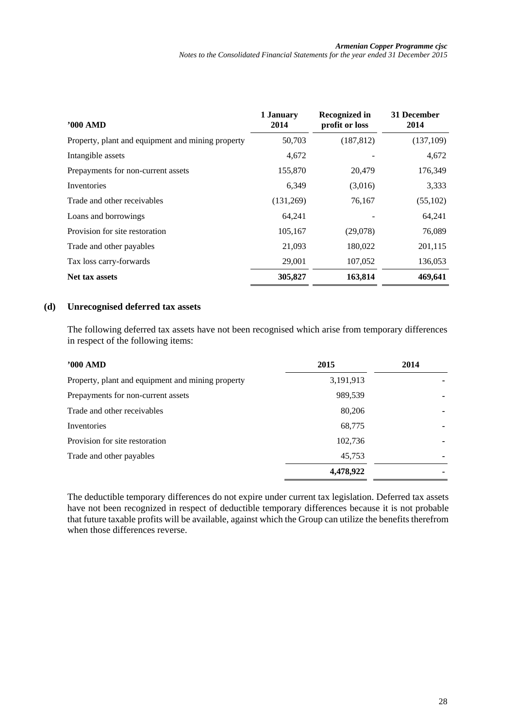| '000 AMD                                          | 1 January<br>2014 | <b>Recognized in</b><br>profit or loss | 31 December<br>2014 |
|---------------------------------------------------|-------------------|----------------------------------------|---------------------|
| Property, plant and equipment and mining property | 50,703            | (187, 812)                             | (137,109)           |
| Intangible assets                                 | 4,672             |                                        | 4,672               |
| Prepayments for non-current assets                | 155,870           | 20,479                                 | 176,349             |
| Inventories                                       | 6.349             | (3,016)                                | 3,333               |
| Trade and other receivables                       | (131,269)         | 76,167                                 | (55,102)            |
| Loans and borrowings                              | 64,241            |                                        | 64,241              |
| Provision for site restoration                    | 105,167           | (29,078)                               | 76,089              |
| Trade and other payables                          | 21,093            | 180,022                                | 201,115             |
| Tax loss carry-forwards                           | 29,001            | 107,052                                | 136,053             |
| Net tax assets                                    | 305,827           | 163,814                                | 469,641             |

### **(d) Unrecognised deferred tax assets**

The following deferred tax assets have not been recognised which arise from temporary differences in respect of the following items:

| '000 AMD                                          | 2015      | 2014 |
|---------------------------------------------------|-----------|------|
| Property, plant and equipment and mining property | 3,191,913 |      |
| Prepayments for non-current assets                | 989,539   |      |
| Trade and other receivables                       | 80,206    |      |
| Inventories                                       | 68,775    |      |
| Provision for site restoration                    | 102,736   |      |
| Trade and other payables                          | 45,753    |      |
|                                                   | 4,478,922 |      |
|                                                   |           |      |

The deductible temporary differences do not expire under current tax legislation. Deferred tax assets have not been recognized in respect of deductible temporary differences because it is not probable that future taxable profits will be available, against which the Group can utilize the benefits therefrom when those differences reverse.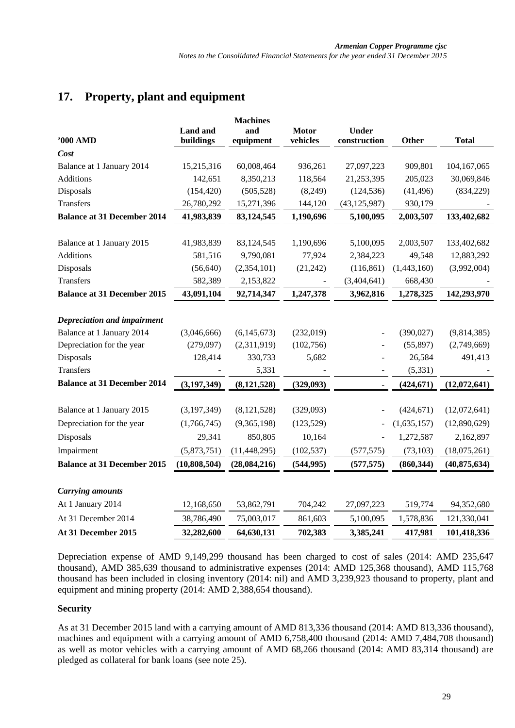# **17. Property, plant and equipment**

|                                    |                              | <b>Machines</b>  |                          |                       |             |                |
|------------------------------------|------------------------------|------------------|--------------------------|-----------------------|-------------|----------------|
| '000 AMD                           | <b>Land and</b><br>buildings | and<br>equipment | <b>Motor</b><br>vehicles | Under<br>construction | Other       | <b>Total</b>   |
| Cost                               |                              |                  |                          |                       |             |                |
| Balance at 1 January 2014          | 15,215,316                   | 60,008,464       | 936,261                  | 27,097,223            | 909,801     | 104,167,065    |
| Additions                          | 142,651                      | 8,350,213        | 118,564                  | 21,253,395            | 205,023     | 30,069,846     |
| Disposals                          | (154, 420)                   | (505, 528)       | (8,249)                  | (124, 536)            | (41, 496)   | (834, 229)     |
| <b>Transfers</b>                   | 26,780,292                   | 15,271,396       | 144,120                  | (43, 125, 987)        | 930,179     |                |
| <b>Balance at 31 December 2014</b> | 41,983,839                   | 83,124,545       | 1,190,696                | 5,100,095             | 2,003,507   | 133,402,682    |
|                                    |                              |                  |                          |                       |             |                |
| Balance at 1 January 2015          | 41,983,839                   | 83,124,545       | 1,190,696                | 5,100,095             | 2,003,507   | 133,402,682    |
| <b>Additions</b>                   | 581,516                      | 9,790,081        | 77,924                   | 2,384,223             | 49,548      | 12,883,292     |
| Disposals                          | (56, 640)                    | (2,354,101)      | (21, 242)                | (116, 861)            | (1,443,160) | (3,992,004)    |
| <b>Transfers</b>                   | 582,389                      | 2,153,822        |                          | (3,404,641)           | 668,430     |                |
| <b>Balance at 31 December 2015</b> | 43,091,104                   | 92,714,347       | 1,247,378                | 3,962,816             | 1,278,325   | 142,293,970    |
|                                    |                              |                  |                          |                       |             |                |
| <b>Depreciation and impairment</b> |                              |                  |                          |                       |             |                |
| Balance at 1 January 2014          | (3,046,666)                  | (6, 145, 673)    | (232,019)                |                       | (390, 027)  | (9,814,385)    |
| Depreciation for the year          | (279,097)                    | (2,311,919)      | (102, 756)               |                       | (55, 897)   | (2,749,669)    |
| Disposals                          | 128,414                      | 330,733          | 5,682                    |                       | 26,584      | 491,413        |
| <b>Transfers</b>                   |                              | 5,331            |                          | $\overline{a}$        | (5,331)     |                |
| <b>Balance at 31 December 2014</b> | (3, 197, 349)                | (8, 121, 528)    | (329, 093)               | $\blacksquare$        | (424, 671)  | (12,072,641)   |
|                                    |                              |                  |                          |                       |             |                |
| Balance at 1 January 2015          | (3, 197, 349)                | (8, 121, 528)    | (329,093)                |                       | (424, 671)  | (12,072,641)   |
| Depreciation for the year          | (1,766,745)                  | (9,365,198)      | (123, 529)               |                       | (1,635,157) | (12,890,629)   |
| Disposals                          | 29,341                       | 850,805          | 10,164                   |                       | 1,272,587   | 2,162,897      |
| Impairment                         | (5,873,751)                  | (11, 448, 295)   | (102, 537)               | (577, 575)            | (73, 103)   | (18,075,261)   |
| <b>Balance at 31 December 2015</b> | (10, 808, 504)               | (28,084,216)     | (544, 995)               | (577, 575)            | (860, 344)  | (40, 875, 634) |
|                                    |                              |                  |                          |                       |             |                |
| <b>Carrying amounts</b>            |                              |                  |                          |                       |             |                |
| At 1 January 2014                  | 12,168,650                   | 53,862,791       | 704,242                  | 27,097,223            | 519,774     | 94,352,680     |
| At 31 December 2014                | 38,786,490                   | 75,003,017       | 861,603                  | 5,100,095             | 1,578,836   | 121,330,041    |
| At 31 December 2015                | 32,282,600                   | 64,630,131       | 702,383                  | 3,385,241             | 417,981     | 101,418,336    |

Depreciation expense of AMD 9,149,299 thousand has been charged to cost of sales (2014: AMD 235,647 thousand), AMD 385,639 thousand to administrative expenses (2014: AMD 125,368 thousand), AMD 115,768 thousand has been included in closing inventory (2014: nil) and AMD 3,239,923 thousand to property, plant and equipment and mining property (2014: AMD 2,388,654 thousand).

### **Security**

As at 31 December 2015 land with a carrying amount of AMD 813,336 thousand (2014: AMD 813,336 thousand), machines and equipment with a carrying amount of AMD 6,758,400 thousand (2014: AMD 7,484,708 thousand) as well as motor vehicles with a carrying amount of AMD 68,266 thousand (2014: AMD 83,314 thousand) are pledged as collateral for bank loans (see note 25).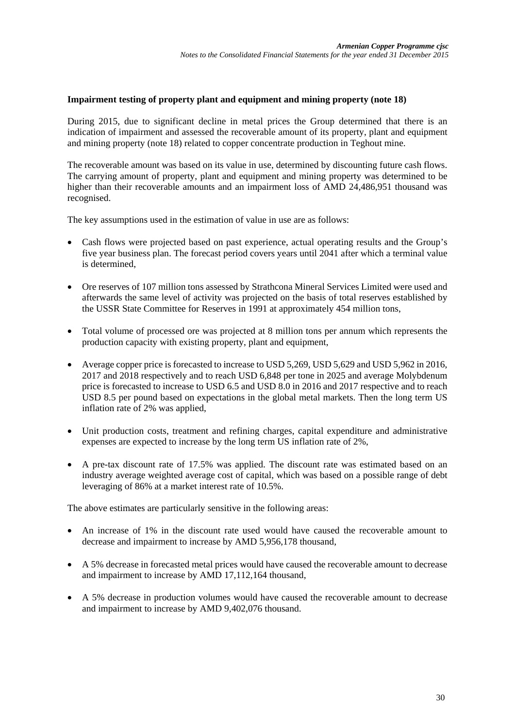### **Impairment testing of property plant and equipment and mining property (note 18)**

During 2015, due to significant decline in metal prices the Group determined that there is an indication of impairment and assessed the recoverable amount of its property, plant and equipment and mining property (note 18) related to copper concentrate production in Teghout mine.

The recoverable amount was based on its value in use, determined by discounting future cash flows. The carrying amount of property, plant and equipment and mining property was determined to be higher than their recoverable amounts and an impairment loss of AMD 24,486,951 thousand was recognised.

The key assumptions used in the estimation of value in use are as follows:

- Cash flows were projected based on past experience, actual operating results and the Group's five year business plan. The forecast period covers years until 2041 after which a terminal value is determined,
- Ore reserves of 107 million tons assessed by Strathcona Mineral Services Limited were used and afterwards the same level of activity was projected on the basis of total reserves established by the USSR State Committee for Reserves in 1991 at approximately 454 million tons,
- Total volume of processed ore was projected at 8 million tons per annum which represents the production capacity with existing property, plant and equipment,
- Average copper price is forecasted to increase to USD 5,269, USD 5,629 and USD 5,962 in 2016, 2017 and 2018 respectively and to reach USD 6,848 per tone in 2025 and average Molybdenum price is forecasted to increase to USD 6.5 and USD 8.0 in 2016 and 2017 respective and to reach USD 8.5 per pound based on expectations in the global metal markets. Then the long term US inflation rate of 2% was applied,
- Unit production costs, treatment and refining charges, capital expenditure and administrative expenses are expected to increase by the long term US inflation rate of 2%,
- A pre-tax discount rate of 17.5% was applied. The discount rate was estimated based on an industry average weighted average cost of capital, which was based on a possible range of debt leveraging of 86% at a market interest rate of 10.5%.

The above estimates are particularly sensitive in the following areas:

- An increase of 1% in the discount rate used would have caused the recoverable amount to decrease and impairment to increase by AMD 5,956,178 thousand,
- A 5% decrease in forecasted metal prices would have caused the recoverable amount to decrease and impairment to increase by AMD 17,112,164 thousand,
- A 5% decrease in production volumes would have caused the recoverable amount to decrease and impairment to increase by AMD 9,402,076 thousand.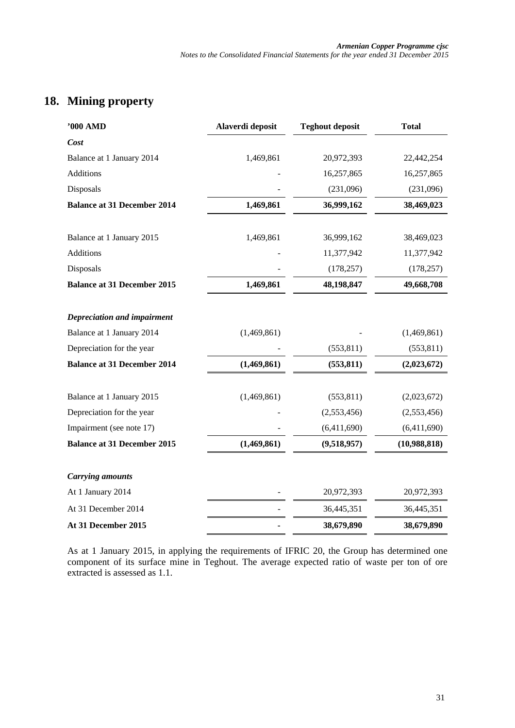# **18. Mining property**

| Alaverdi deposit | <b>Teghout deposit</b> | <b>Total</b> |
|------------------|------------------------|--------------|
|                  |                        |              |
| 1,469,861        | 20,972,393             | 22,442,254   |
|                  | 16,257,865             | 16,257,865   |
|                  | (231,096)              | (231,096)    |
| 1,469,861        | 36,999,162             | 38,469,023   |
|                  |                        |              |
| 1,469,861        | 36,999,162             | 38,469,023   |
|                  | 11,377,942             | 11,377,942   |
|                  | (178, 257)             | (178, 257)   |
| 1,469,861        | 48,198,847             | 49,668,708   |
|                  |                        |              |
|                  |                        |              |
| (1,469,861)      |                        | (1,469,861)  |
|                  | (553, 811)             | (553, 811)   |
| (1,469,861)      | (553, 811)             | (2,023,672)  |
|                  |                        |              |
| (1,469,861)      | (553, 811)             | (2,023,672)  |
|                  | (2,553,456)            | (2,553,456)  |
|                  | (6,411,690)            | (6,411,690)  |
| (1,469,861)      | (9,518,957)            | (10,988,818) |
|                  |                        |              |
|                  |                        |              |
|                  | 20,972,393             | 20,972,393   |
|                  | 36,445,351             | 36,445,351   |
|                  | 38,679,890             | 38,679,890   |
|                  |                        |              |

As at 1 January 2015, in applying the requirements of IFRIC 20, the Group has determined one component of its surface mine in Teghout. The average expected ratio of waste per ton of ore extracted is assessed as 1.1.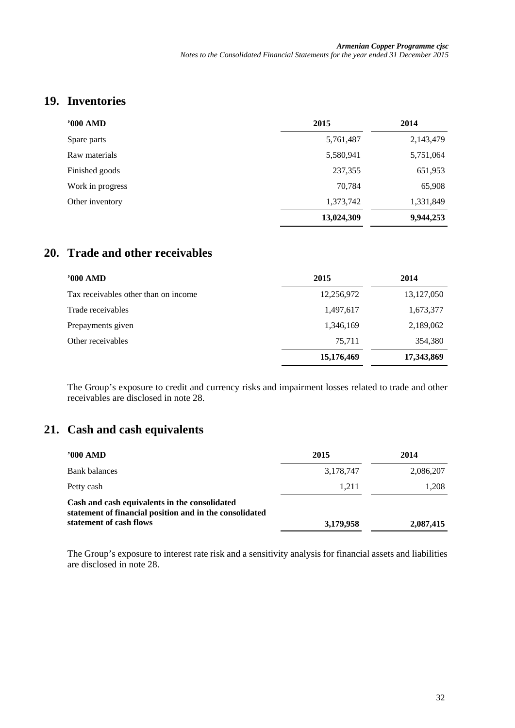## **19. Inventories**

| '000 AMD         | 2015       | 2014      |
|------------------|------------|-----------|
| Spare parts      | 5,761,487  | 2,143,479 |
| Raw materials    | 5,580,941  | 5,751,064 |
| Finished goods   | 237,355    | 651,953   |
| Work in progress | 70,784     | 65,908    |
| Other inventory  | 1,373,742  | 1,331,849 |
|                  | 13,024,309 | 9,944,253 |

## **20. Trade and other receivables**

| '000 AMD                             | 2015       | 2014       |
|--------------------------------------|------------|------------|
| Tax receivables other than on income | 12,256,972 | 13,127,050 |
| Trade receivables                    | 1,497,617  | 1,673,377  |
| Prepayments given                    | 1,346,169  | 2,189,062  |
| Other receivables                    | 75.711     | 354,380    |
|                                      | 15,176,469 | 17,343,869 |

The Group's exposure to credit and currency risks and impairment losses related to trade and other receivables are disclosed in note 28.

## **21. Cash and cash equivalents**

| '000 AMD                                                                                                                            | 2015      | 2014      |
|-------------------------------------------------------------------------------------------------------------------------------------|-----------|-----------|
| <b>Bank balances</b>                                                                                                                | 3,178,747 | 2,086,207 |
| Petty cash                                                                                                                          | 1.211     | 1.208     |
| Cash and cash equivalents in the consolidated<br>statement of financial position and in the consolidated<br>statement of cash flows | 3,179,958 | 2,087,415 |

The Group's exposure to interest rate risk and a sensitivity analysis for financial assets and liabilities are disclosed in note 28.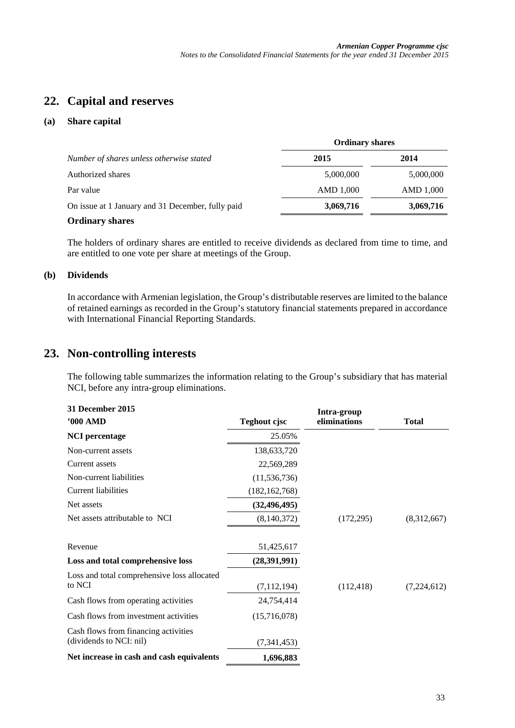## **22. Capital and reserves**

### **(a) Share capital**

|                                                   | <b>Ordinary shares</b> |           |  |
|---------------------------------------------------|------------------------|-----------|--|
| Number of shares unless otherwise stated          | 2015                   | 2014      |  |
| Authorized shares                                 | 5,000,000              | 5,000,000 |  |
| Par value                                         | AMD 1,000              | AMD 1,000 |  |
| On issue at 1 January and 31 December, fully paid | 3,069,716              | 3,069,716 |  |
| $\mathbf{A}$ is the set of $\mathbf{I}$           |                        |           |  |

### **Ordinary shares**

The holders of ordinary shares are entitled to receive dividends as declared from time to time, and are entitled to one vote per share at meetings of the Group.

### **(b) Dividends**

In accordance with Armenian legislation, the Group's distributable reserves are limited to the balance of retained earnings as recorded in the Group's statutory financial statements prepared in accordance with International Financial Reporting Standards.

### **23. Non-controlling interests**

The following table summarizes the information relating to the Group's subsidiary that has material NCI, before any intra-group eliminations.

| 31 December 2015                            |                 | Intra-group  |              |
|---------------------------------------------|-----------------|--------------|--------------|
| '000 AMD                                    | Teghout cjsc    | eliminations | <b>Total</b> |
| <b>NCI</b> percentage                       | 25.05%          |              |              |
| Non-current assets                          | 138,633,720     |              |              |
| Current assets                              | 22,569,289      |              |              |
| Non-current liabilities                     | (11, 536, 736)  |              |              |
| Current liabilities                         | (182, 162, 768) |              |              |
| Net assets                                  | (32, 496, 495)  |              |              |
| Net assets attributable to NCI              | (8, 140, 372)   | (172, 295)   | (8,312,667)  |
| Revenue                                     | 51,425,617      |              |              |
| Loss and total comprehensive loss           | (28, 391, 991)  |              |              |
| Loss and total comprehensive loss allocated |                 |              |              |
| to NCI                                      | (7, 112, 194)   | (112, 418)   | (7,224,612)  |
| Cash flows from operating activities        | 24,754,414      |              |              |
| Cash flows from investment activities       | (15,716,078)    |              |              |
| Cash flows from financing activities        |                 |              |              |
| (dividends to NCI: nil)                     | (7,341,453)     |              |              |
| Net increase in cash and cash equivalents   | 1,696,883       |              |              |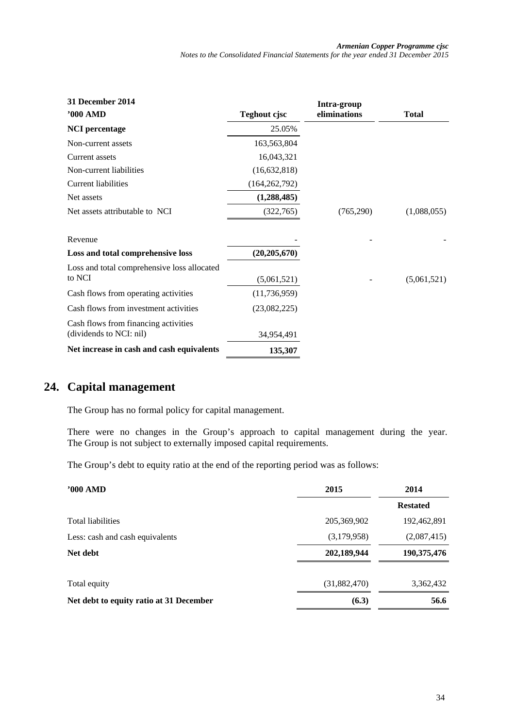| '000 AMD<br><b>Teghout cjsc</b><br>eliminations<br>25.05%<br><b>NCI</b> percentage<br>163,563,804<br>Non-current assets<br>16,043,321<br>Current assets<br>Non-current liabilities<br>(16, 632, 818)<br>Current liabilities<br>(164, 262, 792)<br>(1, 288, 485)<br>Net assets<br>Net assets attributable to NCI<br>(322, 765)<br>(765, 290)<br>Revenue<br>(20, 205, 670)<br>Loss and total comprehensive loss<br>Loss and total comprehensive loss allocated<br>to NCI<br>(5,061,521)<br>Cash flows from operating activities<br>(11, 736, 959)<br>Cash flows from investment activities<br>(23,082,225) | Intra-group  | 31 December 2014 |
|----------------------------------------------------------------------------------------------------------------------------------------------------------------------------------------------------------------------------------------------------------------------------------------------------------------------------------------------------------------------------------------------------------------------------------------------------------------------------------------------------------------------------------------------------------------------------------------------------------|--------------|------------------|
|                                                                                                                                                                                                                                                                                                                                                                                                                                                                                                                                                                                                          | <b>Total</b> |                  |
|                                                                                                                                                                                                                                                                                                                                                                                                                                                                                                                                                                                                          |              |                  |
|                                                                                                                                                                                                                                                                                                                                                                                                                                                                                                                                                                                                          |              |                  |
|                                                                                                                                                                                                                                                                                                                                                                                                                                                                                                                                                                                                          |              |                  |
|                                                                                                                                                                                                                                                                                                                                                                                                                                                                                                                                                                                                          |              |                  |
|                                                                                                                                                                                                                                                                                                                                                                                                                                                                                                                                                                                                          |              |                  |
|                                                                                                                                                                                                                                                                                                                                                                                                                                                                                                                                                                                                          |              |                  |
|                                                                                                                                                                                                                                                                                                                                                                                                                                                                                                                                                                                                          | (1,088,055)  |                  |
|                                                                                                                                                                                                                                                                                                                                                                                                                                                                                                                                                                                                          |              |                  |
|                                                                                                                                                                                                                                                                                                                                                                                                                                                                                                                                                                                                          |              |                  |
|                                                                                                                                                                                                                                                                                                                                                                                                                                                                                                                                                                                                          |              |                  |
|                                                                                                                                                                                                                                                                                                                                                                                                                                                                                                                                                                                                          | (5,061,521)  |                  |
|                                                                                                                                                                                                                                                                                                                                                                                                                                                                                                                                                                                                          |              |                  |
|                                                                                                                                                                                                                                                                                                                                                                                                                                                                                                                                                                                                          |              |                  |
| Cash flows from financing activities<br>(dividends to NCI: nil)<br>34,954,491                                                                                                                                                                                                                                                                                                                                                                                                                                                                                                                            |              |                  |
| Net increase in cash and cash equivalents<br>135,307                                                                                                                                                                                                                                                                                                                                                                                                                                                                                                                                                     |              |                  |

# **24. Capital management**

The Group has no formal policy for capital management.

There were no changes in the Group's approach to capital management during the year. The Group is not subject to externally imposed capital requirements.

The Group's debt to equity ratio at the end of the reporting period was as follows:

| '000 AMD                                | 2015         | 2014            |  |
|-----------------------------------------|--------------|-----------------|--|
|                                         |              | <b>Restated</b> |  |
| <b>Total liabilities</b>                | 205,369,902  | 192,462,891     |  |
| Less: cash and cash equivalents         | (3,179,958)  | (2,087,415)     |  |
| Net debt                                | 202,189,944  | 190,375,476     |  |
| Total equity                            | (31,882,470) | 3,362,432       |  |
| Net debt to equity ratio at 31 December | (6.3)        | 56.6            |  |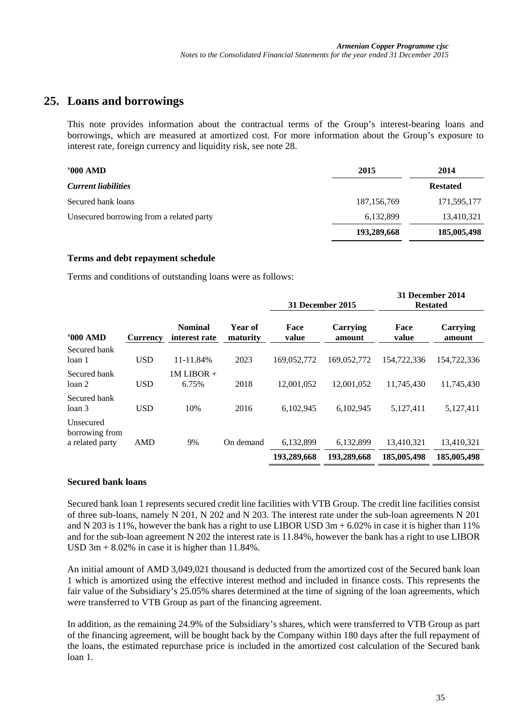## **25. Loans and borrowings**

This note provides information about the contractual terms of the Group's interest-bearing loans and borrowings, which are measured at amortized cost. For more information about the Group's exposure to interest rate, foreign currency and liquidity risk, see note 28.

| '000 AMD                                 | 2015          | 2014            |
|------------------------------------------|---------------|-----------------|
| <b>Current liabilities</b>               |               | <b>Restated</b> |
| Secured bank loans                       | 187, 156, 769 | 171,595,177     |
| Unsecured borrowing from a related party | 6,132,899     | 13,410,321      |
|                                          | 193,289,668   | 185,005,498     |

### **Terms and debt repayment schedule**

Terms and conditions of outstanding loans were as follows:

|                                                |                 |                                 |                     | 31 December 2015 |                    | эт цесеппег 2014<br><b>Restated</b> |                    |
|------------------------------------------------|-----------------|---------------------------------|---------------------|------------------|--------------------|-------------------------------------|--------------------|
| '000 AMD                                       | <b>Currency</b> | <b>Nominal</b><br>interest rate | Year of<br>maturity | Face<br>value    | Carrying<br>amount | Face<br>value                       | Carrying<br>amount |
| Secured bank<br>loan 1                         | <b>USD</b>      | 11-11.84%                       | 2023                | 169.052.772      | 169,052,772        | 154,722,336                         | 154,722,336        |
| Secured bank<br>loan 2                         | <b>USD</b>      | $1M LIBOR +$<br>6.75%           | 2018                | 12.001.052       | 12,001,052         | 11,745,430                          | 11,745,430         |
| Secured bank<br>loan 3                         | <b>USD</b>      | 10%                             | 2016                | 6,102,945        | 6,102,945          | 5,127,411                           | 5,127,411          |
| Unsecured<br>borrowing from<br>a related party | <b>AMD</b>      | 9%                              | On demand           | 6,132,899        | 6,132,899          | 13,410,321                          | 13,410,321         |
|                                                |                 |                                 |                     | 193,289,668      | 193,289,668        | 185,005,498                         | 185,005,498        |

### **Secured bank loans**

Secured bank loan 1 represents secured credit line facilities with VTB Group. The credit line facilities consist of three sub-loans, namely N 201, N 202 and N 203. The interest rate under the sub-loan agreements N 201 and N 203 is 11%, however the bank has a right to use LIBOR USD  $3m + 6.02\%$  in case it is higher than 11% and for the sub-loan agreement N 202 the interest rate is 11.84%, however the bank has a right to use LIBOR USD  $3m + 8.02\%$  in case it is higher than 11.84%.

An initial amount of AMD 3,049,021 thousand is deducted from the amortized cost of the Secured bank loan 1 which is amortized using the effective interest method and included in finance costs. This represents the fair value of the Subsidiary's 25.05% shares determined at the time of signing of the loan agreements, which were transferred to VTB Group as part of the financing agreement.

In addition, as the remaining 24.9% of the Subsidiary's shares, which were transferred to VTB Group as part of the financing agreement, will be bought back by the Company within 180 days after the full repayment of the loans, the estimated repurchase price is included in the amortized cost calculation of the Secured bank loan 1.

**31 Dec** 1 2014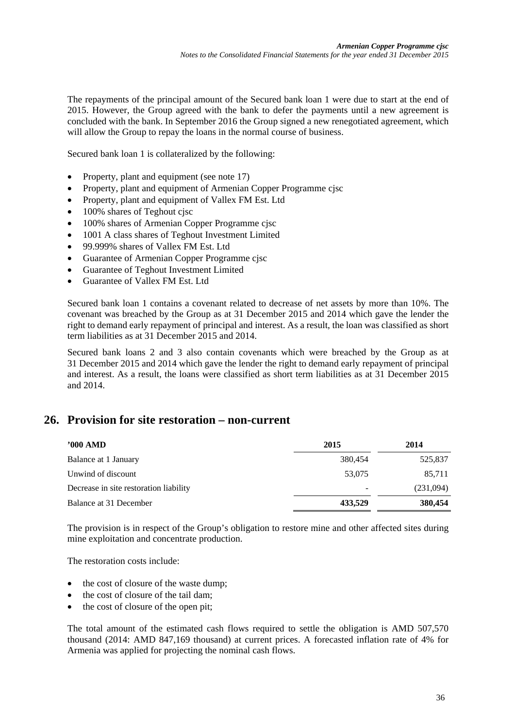The repayments of the principal amount of the Secured bank loan 1 were due to start at the end of 2015. However, the Group agreed with the bank to defer the payments until a new agreement is concluded with the bank. In September 2016 the Group signed a new renegotiated agreement, which will allow the Group to repay the loans in the normal course of business.

Secured bank loan 1 is collateralized by the following:

- Property, plant and equipment (see note  $17$ )
- Property, plant and equipment of Armenian Copper Programme cisc
- Property, plant and equipment of Vallex FM Est. Ltd
- 100% shares of Teghout cjsc
- 100% shares of Armenian Copper Programme cjsc
- 1001 A class shares of Teghout Investment Limited
- 99.999% shares of Vallex FM Est. Ltd
- Guarantee of Armenian Copper Programme cjsc
- Guarantee of Teghout Investment Limited
- Guarantee of Vallex FM Est. Ltd

Secured bank loan 1 contains a covenant related to decrease of net assets by more than 10%. The covenant was breached by the Group as at 31 December 2015 and 2014 which gave the lender the right to demand early repayment of principal and interest. As a result, the loan was classified as short term liabilities as at 31 December 2015 and 2014.

Secured bank loans 2 and 3 also contain covenants which were breached by the Group as at 31 December 2015 and 2014 which gave the lender the right to demand early repayment of principal and interest. As a result, the loans were classified as short term liabilities as at 31 December 2015 and 2014.

### **26. Provision for site restoration – non-current**

| '000 AMD                               | 2015    | 2014      |
|----------------------------------------|---------|-----------|
| Balance at 1 January                   | 380,454 | 525,837   |
| Unwind of discount                     | 53,075  | 85,711    |
| Decrease in site restoration liability | -       | (231,094) |
| Balance at 31 December                 | 433,529 | 380,454   |

The provision is in respect of the Group's obligation to restore mine and other affected sites during mine exploitation and concentrate production.

The restoration costs include:

- the cost of closure of the waste dump;
- the cost of closure of the tail dam;
- the cost of closure of the open pit;

The total amount of the estimated cash flows required to settle the obligation is AMD 507,570 thousand (2014: AMD 847,169 thousand) at current prices. A forecasted inflation rate of 4% for Armenia was applied for projecting the nominal cash flows.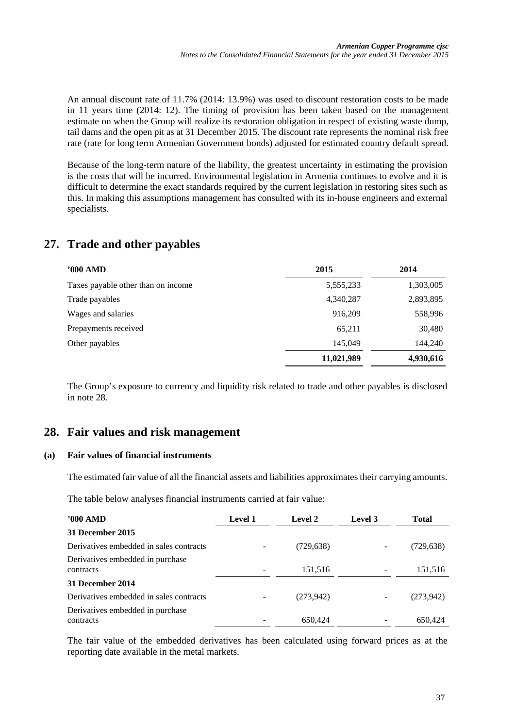An annual discount rate of 11.7% (2014: 13.9%) was used to discount restoration costs to be made in 11 years time (2014: 12). The timing of provision has been taken based on the management estimate on when the Group will realize its restoration obligation in respect of existing waste dump, tail dams and the open pit as at 31 December 2015. The discount rate represents the nominal risk free rate (rate for long term Armenian Government bonds) adjusted for estimated country default spread.

Because of the long-term nature of the liability, the greatest uncertainty in estimating the provision is the costs that will be incurred. Environmental legislation in Armenia continues to evolve and it is difficult to determine the exact standards required by the current legislation in restoring sites such as this. In making this assumptions management has consulted with its in-house engineers and external specialists.

## **27. Trade and other payables**

| '000 AMD                           | 2015       | 2014      |
|------------------------------------|------------|-----------|
| Taxes payable other than on income | 5,555,233  | 1,303,005 |
| Trade payables                     | 4,340,287  | 2,893,895 |
| Wages and salaries                 | 916,209    | 558,996   |
| Prepayments received               | 65,211     | 30,480    |
| Other payables                     | 145,049    | 144,240   |
|                                    | 11,021,989 | 4,930,616 |

The Group's exposure to currency and liquidity risk related to trade and other payables is disclosed in note 28.

## **28. Fair values and risk management**

### **(a) Fair values of financial instruments**

The estimated fair value of all the financial assets and liabilities approximates their carrying amounts.

The table below analyses financial instruments carried at fair value:

| '000 AMD                                      | <b>Level 1</b> | Level 2    | Level 3 | Total      |
|-----------------------------------------------|----------------|------------|---------|------------|
| <b>31 December 2015</b>                       |                |            |         |            |
| Derivatives embedded in sales contracts       |                | (729, 638) |         | (729, 638) |
| Derivatives embedded in purchase<br>contracts |                | 151,516    |         | 151,516    |
| 31 December 2014                              |                |            |         |            |
| Derivatives embedded in sales contracts       |                | (273, 942) |         | (273,942)  |
| Derivatives embedded in purchase<br>contracts |                | 650,424    |         | 650.424    |

The fair value of the embedded derivatives has been calculated using forward prices as at the reporting date available in the metal markets.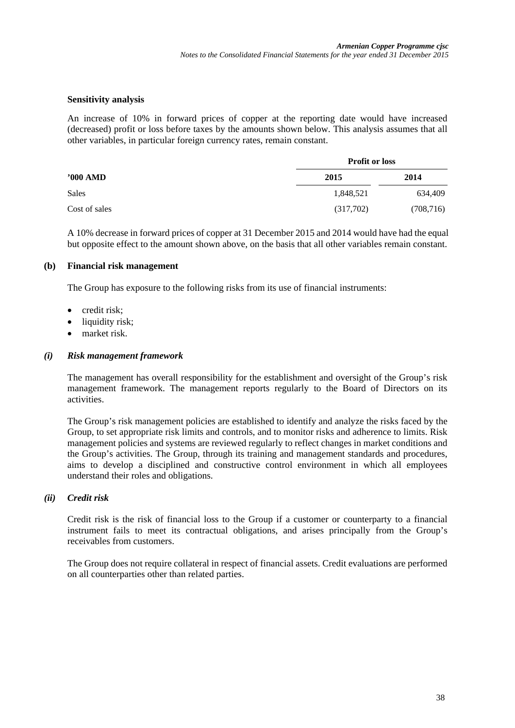### **Sensitivity analysis**

An increase of 10% in forward prices of copper at the reporting date would have increased (decreased) profit or loss before taxes by the amounts shown below. This analysis assumes that all other variables, in particular foreign currency rates, remain constant.

|               |           | <b>Profit or loss</b> |  |  |
|---------------|-----------|-----------------------|--|--|
| '000 AMD      | 2015      | 2014                  |  |  |
| <b>Sales</b>  | 1,848,521 | 634,409               |  |  |
| Cost of sales | (317,702) | (708, 716)            |  |  |

A 10% decrease in forward prices of copper at 31 December 2015 and 2014 would have had the equal but opposite effect to the amount shown above, on the basis that all other variables remain constant.

### **(b) Financial risk management**

The Group has exposure to the following risks from its use of financial instruments:

- credit risk:
- liquidity risk;
- market risk.

### *(i) Risk management framework*

The management has overall responsibility for the establishment and oversight of the Group's risk management framework. The management reports regularly to the Board of Directors on its activities.

The Group's risk management policies are established to identify and analyze the risks faced by the Group, to set appropriate risk limits and controls, and to monitor risks and adherence to limits. Risk management policies and systems are reviewed regularly to reflect changes in market conditions and the Group's activities. The Group, through its training and management standards and procedures, aims to develop a disciplined and constructive control environment in which all employees understand their roles and obligations.

### *(ii) Credit risk*

Credit risk is the risk of financial loss to the Group if a customer or counterparty to a financial instrument fails to meet its contractual obligations, and arises principally from the Group's receivables from customers.

The Group does not require collateral in respect of financial assets. Credit evaluations are performed on all counterparties other than related parties.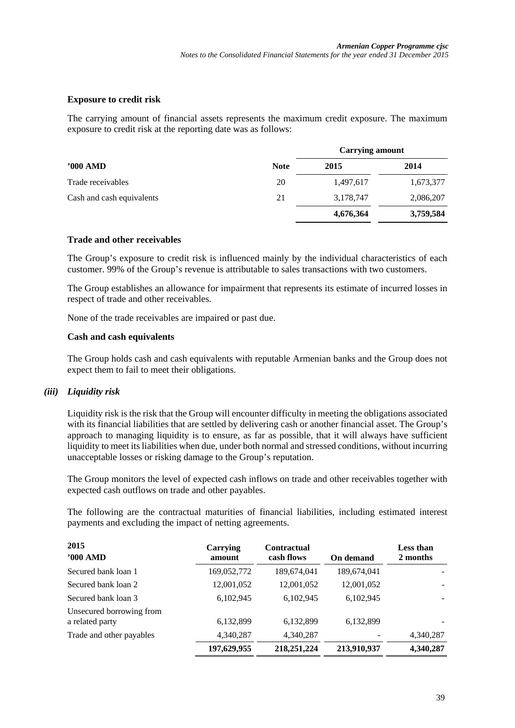### **Exposure to credit risk**

The carrying amount of financial assets represents the maximum credit exposure. The maximum exposure to credit risk at the reporting date was as follows:

|                           |             | <b>Carrying amount</b> |           |  |
|---------------------------|-------------|------------------------|-----------|--|
| '000 AMD                  | <b>Note</b> | 2015                   | 2014      |  |
| Trade receivables         | 20          | 1,497,617              | 1,673,377 |  |
| Cash and cash equivalents | 21          | 3,178,747              | 2,086,207 |  |
|                           |             | 4,676,364              | 3,759,584 |  |

### **Trade and other receivables**

The Group's exposure to credit risk is influenced mainly by the individual characteristics of each customer. 99% of the Group's revenue is attributable to sales transactions with two customers.

The Group establishes an allowance for impairment that represents its estimate of incurred losses in respect of trade and other receivables.

None of the trade receivables are impaired or past due.

### **Cash and cash equivalents**

The Group holds cash and cash equivalents with reputable Armenian banks and the Group does not expect them to fail to meet their obligations.

### *(iii) Liquidity risk*

Liquidity risk is the risk that the Group will encounter difficulty in meeting the obligations associated with its financial liabilities that are settled by delivering cash or another financial asset. The Group's approach to managing liquidity is to ensure, as far as possible, that it will always have sufficient liquidity to meet its liabilities when due, under both normal and stressed conditions, without incurring unacceptable losses or risking damage to the Group's reputation.

The Group monitors the level of expected cash inflows on trade and other receivables together with expected cash outflows on trade and other payables.

The following are the contractual maturities of financial liabilities, including estimated interest payments and excluding the impact of netting agreements.

| 2015<br>'000 AMD                            | <b>Carrying</b><br>amount | <b>Contractual</b><br>cash flows | <b>On demand</b> | Less than<br>2 months |
|---------------------------------------------|---------------------------|----------------------------------|------------------|-----------------------|
| Secured bank loan 1                         | 169,052,772               | 189,674,041                      | 189,674,041      |                       |
| Secured bank loan 2                         | 12,001,052                | 12,001,052                       | 12,001,052       |                       |
| Secured bank loan 3                         | 6,102,945                 | 6,102,945                        | 6,102,945        |                       |
| Unsecured borrowing from<br>a related party | 6,132,899                 | 6,132,899                        | 6,132,899        |                       |
| Trade and other payables                    | 4,340,287                 | 4,340,287                        |                  | 4,340,287             |
|                                             | 197,629,955               | 218,251,224                      | 213,910,937      | 4,340,287             |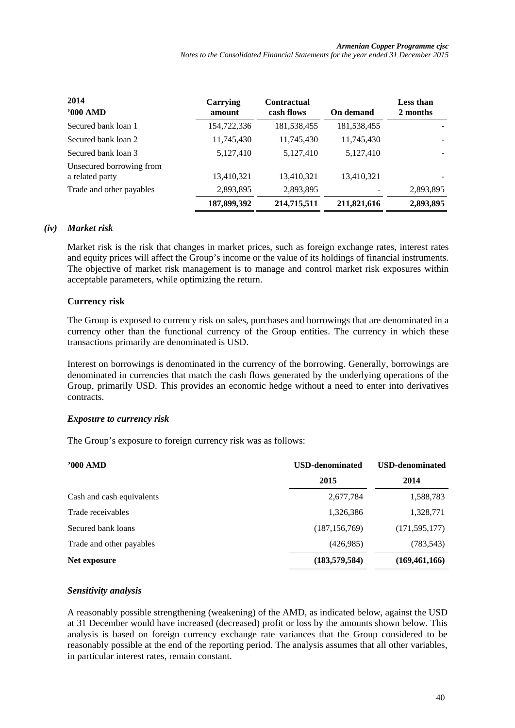| 2014<br>'000 AMD                            | Carrying<br>amount | <b>Contractual</b><br>cash flows | On demand   | Less than<br>2 months |
|---------------------------------------------|--------------------|----------------------------------|-------------|-----------------------|
| Secured bank loan 1                         | 154,722,336        | 181,538,455                      | 181,538,455 |                       |
| Secured bank loan 2                         | 11,745,430         | 11,745,430                       | 11,745,430  |                       |
| Secured bank loan 3                         | 5,127,410          | 5,127,410                        | 5,127,410   |                       |
| Unsecured borrowing from<br>a related party | 13,410,321         | 13,410,321                       | 13,410,321  |                       |
| Trade and other payables                    | 2,893,895          | 2,893,895                        |             | 2,893,895             |
|                                             | 187,899,392        | 214,715,511                      | 211,821,616 | 2,893,895             |

### *(iv) Market risk*

Market risk is the risk that changes in market prices, such as foreign exchange rates, interest rates and equity prices will affect the Group's income or the value of its holdings of financial instruments. The objective of market risk management is to manage and control market risk exposures within acceptable parameters, while optimizing the return.

### **Currency risk**

The Group is exposed to currency risk on sales, purchases and borrowings that are denominated in a currency other than the functional currency of the Group entities. The currency in which these transactions primarily are denominated is USD.

Interest on borrowings is denominated in the currency of the borrowing. Generally, borrowings are denominated in currencies that match the cash flows generated by the underlying operations of the Group, primarily USD. This provides an economic hedge without a need to enter into derivatives contracts.

### *Exposure to currency risk*

The Group's exposure to foreign currency risk was as follows:

| '000 AMD                  | USD-denominated | <b>USD-denominated</b> |
|---------------------------|-----------------|------------------------|
|                           | 2015            | 2014                   |
| Cash and cash equivalents | 2,677,784       | 1,588,783              |
| Trade receivables         | 1,326,386       | 1,328,771              |
| Secured bank loans        | (187, 156, 769) | (171, 595, 177)        |
| Trade and other payables  | (426,985)       | (783, 543)             |
| Net exposure              | (183,579,584)   | (169, 461, 166)        |

### *Sensitivity analysis*

A reasonably possible strengthening (weakening) of the AMD, as indicated below, against the USD at 31 December would have increased (decreased) profit or loss by the amounts shown below. This analysis is based on foreign currency exchange rate variances that the Group considered to be reasonably possible at the end of the reporting period. The analysis assumes that all other variables, in particular interest rates, remain constant.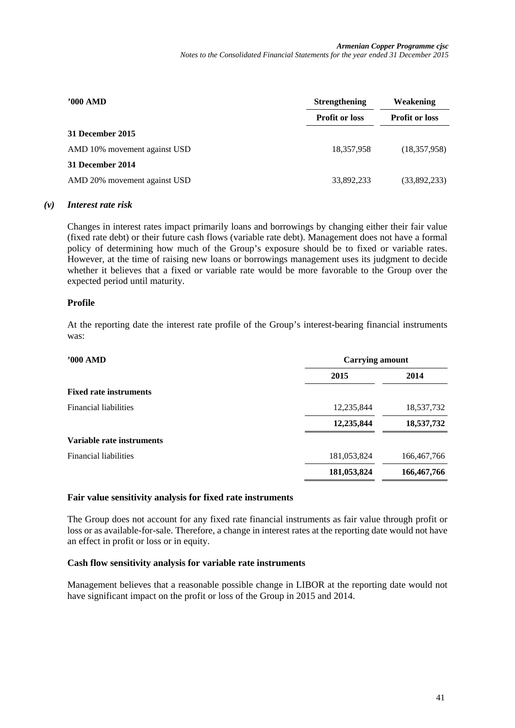| '000 AMD                     | <b>Strengthening</b>  | Weakening             |
|------------------------------|-----------------------|-----------------------|
|                              | <b>Profit or loss</b> | <b>Profit or loss</b> |
| 31 December 2015             |                       |                       |
| AMD 10% movement against USD | 18,357,958            | (18, 357, 958)        |
| 31 December 2014             |                       |                       |
| AMD 20% movement against USD | 33,892,233            | (33,892,233)          |
|                              |                       |                       |

### *(v) Interest rate risk*

Changes in interest rates impact primarily loans and borrowings by changing either their fair value (fixed rate debt) or their future cash flows (variable rate debt). Management does not have a formal policy of determining how much of the Group's exposure should be to fixed or variable rates. However, at the time of raising new loans or borrowings management uses its judgment to decide whether it believes that a fixed or variable rate would be more favorable to the Group over the expected period until maturity.

### **Profile**

At the reporting date the interest rate profile of the Group's interest-bearing financial instruments was:

| '000 AMD                      |             | <b>Carrying amount</b> |  |  |
|-------------------------------|-------------|------------------------|--|--|
|                               | 2015        | 2014                   |  |  |
| <b>Fixed rate instruments</b> |             |                        |  |  |
| <b>Financial liabilities</b>  | 12,235,844  | 18,537,732             |  |  |
|                               | 12,235,844  | 18,537,732             |  |  |
| Variable rate instruments     |             |                        |  |  |
| Financial liabilities         | 181,053,824 | 166, 467, 766          |  |  |
|                               | 181,053,824 | 166, 467, 766          |  |  |
|                               |             |                        |  |  |

### **Fair value sensitivity analysis for fixed rate instruments**

The Group does not account for any fixed rate financial instruments as fair value through profit or loss or as available-for-sale. Therefore, a change in interest rates at the reporting date would not have an effect in profit or loss or in equity.

### **Cash flow sensitivity analysis for variable rate instruments**

Management believes that a reasonable possible change in LIBOR at the reporting date would not have significant impact on the profit or loss of the Group in 2015 and 2014.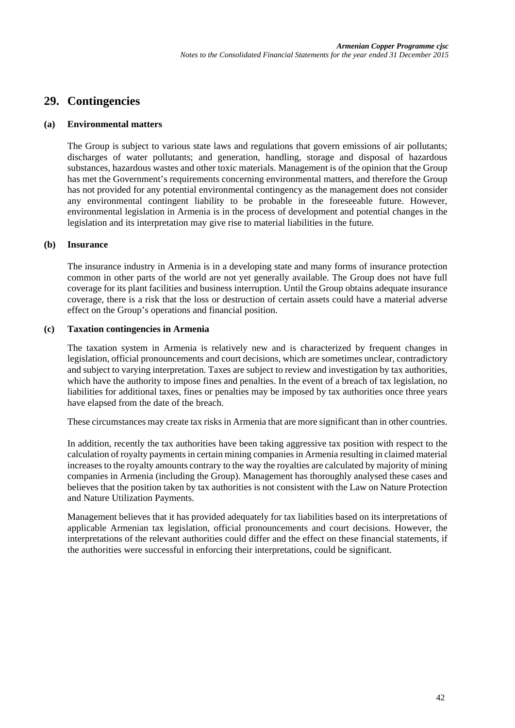## **29. Contingencies**

### **(a) Environmental matters**

The Group is subject to various state laws and regulations that govern emissions of air pollutants; discharges of water pollutants; and generation, handling, storage and disposal of hazardous substances, hazardous wastes and other toxic materials. Management is of the opinion that the Group has met the Government's requirements concerning environmental matters, and therefore the Group has not provided for any potential environmental contingency as the management does not consider any environmental contingent liability to be probable in the foreseeable future. However, environmental legislation in Armenia is in the process of development and potential changes in the legislation and its interpretation may give rise to material liabilities in the future.

### **(b) Insurance**

The insurance industry in Armenia is in a developing state and many forms of insurance protection common in other parts of the world are not yet generally available. The Group does not have full coverage for its plant facilities and business interruption. Until the Group obtains adequate insurance coverage, there is a risk that the loss or destruction of certain assets could have a material adverse effect on the Group's operations and financial position.

### **(c) Taxation contingencies in Armenia**

The taxation system in Armenia is relatively new and is characterized by frequent changes in legislation, official pronouncements and court decisions, which are sometimes unclear, contradictory and subject to varying interpretation. Taxes are subject to review and investigation by tax authorities, which have the authority to impose fines and penalties. In the event of a breach of tax legislation, no liabilities for additional taxes, fines or penalties may be imposed by tax authorities once three years have elapsed from the date of the breach.

These circumstances may create tax risks in Armenia that are more significant than in other countries.

In addition, recently the tax authorities have been taking aggressive tax position with respect to the calculation of royalty payments in certain mining companies in Armenia resulting in claimed material increases to the royalty amounts contrary to the way the royalties are calculated by majority of mining companies in Armenia (including the Group). Management has thoroughly analysed these cases and believes that the position taken by tax authorities is not consistent with the Law on Nature Protection and Nature Utilization Payments.

Management believes that it has provided adequately for tax liabilities based on its interpretations of applicable Armenian tax legislation, official pronouncements and court decisions. However, the interpretations of the relevant authorities could differ and the effect on these financial statements, if the authorities were successful in enforcing their interpretations, could be significant.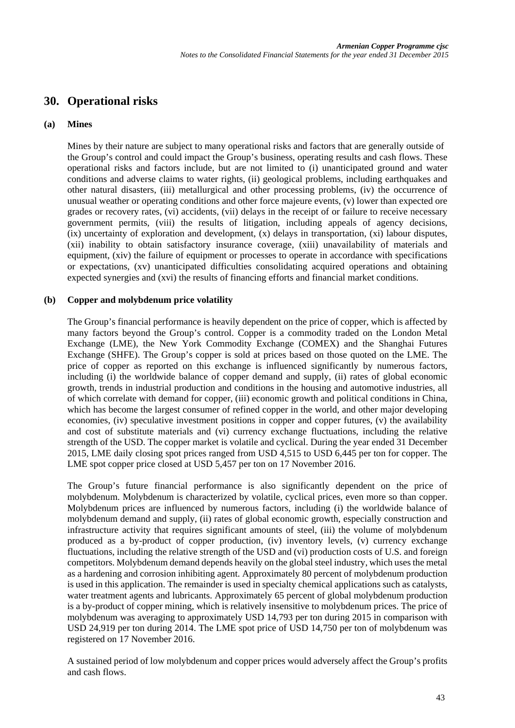## **30. Operational risks**

### **(a) Mines**

Mines by their nature are subject to many operational risks and factors that are generally outside of the Group's control and could impact the Group's business, operating results and cash flows. These operational risks and factors include, but are not limited to (i) unanticipated ground and water conditions and adverse claims to water rights, (ii) geological problems, including earthquakes and other natural disasters, (iii) metallurgical and other processing problems, (iv) the occurrence of unusual weather or operating conditions and other force majeure events, (v) lower than expected ore grades or recovery rates, (vi) accidents, (vii) delays in the receipt of or failure to receive necessary government permits, (viii) the results of litigation, including appeals of agency decisions, (ix) uncertainty of exploration and development, (x) delays in transportation, (xi) labour disputes, (xii) inability to obtain satisfactory insurance coverage, (xiii) unavailability of materials and equipment, (xiv) the failure of equipment or processes to operate in accordance with specifications or expectations, (xv) unanticipated difficulties consolidating acquired operations and obtaining expected synergies and (xvi) the results of financing efforts and financial market conditions.

### **(b) Copper and molybdenum price volatility**

The Group's financial performance is heavily dependent on the price of copper, which is affected by many factors beyond the Group's control. Copper is a commodity traded on the London Metal Exchange (LME), the New York Commodity Exchange (COMEX) and the Shanghai Futures Exchange (SHFE). The Group's copper is sold at prices based on those quoted on the LME. The price of copper as reported on this exchange is influenced significantly by numerous factors, including (i) the worldwide balance of copper demand and supply, (ii) rates of global economic growth, trends in industrial production and conditions in the housing and automotive industries, all of which correlate with demand for copper, (iii) economic growth and political conditions in China, which has become the largest consumer of refined copper in the world, and other major developing economies, (iv) speculative investment positions in copper and copper futures, (v) the availability and cost of substitute materials and (vi) currency exchange fluctuations, including the relative strength of the USD. The copper market is volatile and cyclical. During the year ended 31 December 2015, LME daily closing spot prices ranged from USD 4,515 to USD 6,445 per ton for copper. The LME spot copper price closed at USD 5,457 per ton on 17 November 2016.

The Group's future financial performance is also significantly dependent on the price of molybdenum. Molybdenum is characterized by volatile, cyclical prices, even more so than copper. Molybdenum prices are influenced by numerous factors, including (i) the worldwide balance of molybdenum demand and supply, (ii) rates of global economic growth, especially construction and infrastructure activity that requires significant amounts of steel, (iii) the volume of molybdenum produced as a by-product of copper production, (iv) inventory levels, (v) currency exchange fluctuations, including the relative strength of the USD and (vi) production costs of U.S. and foreign competitors. Molybdenum demand depends heavily on the global steel industry, which uses the metal as a hardening and corrosion inhibiting agent. Approximately 80 percent of molybdenum production is used in this application. The remainder is used in specialty chemical applications such as catalysts, water treatment agents and lubricants. Approximately 65 percent of global molybdenum production is a by-product of copper mining, which is relatively insensitive to molybdenum prices. The price of molybdenum was averaging to approximately USD 14,793 per ton during 2015 in comparison with USD 24,919 per ton during 2014. The LME spot price of USD 14,750 per ton of molybdenum was registered on 17 November 2016.

A sustained period of low molybdenum and copper prices would adversely affect the Group's profits and cash flows.